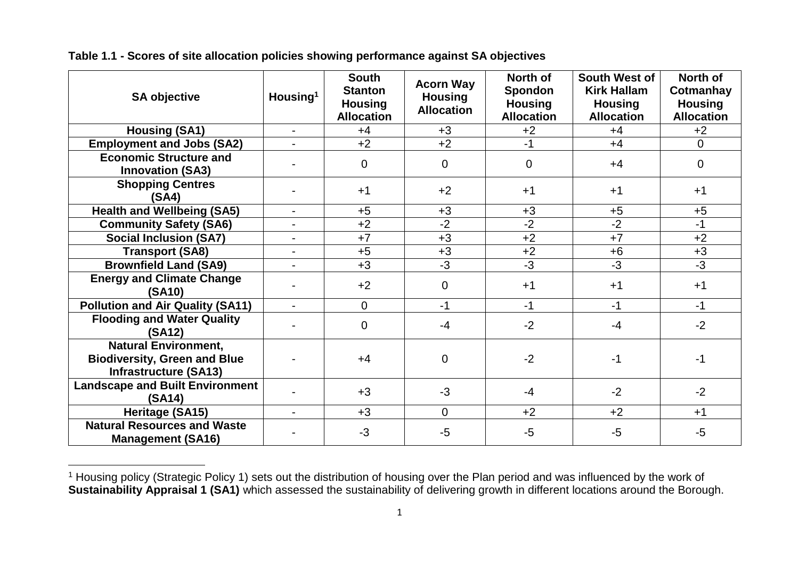| <b>SA objective</b>                                                                                | Housing <sup>1</sup>     | <b>South</b><br><b>Stanton</b><br><b>Housing</b><br><b>Allocation</b> | <b>Acorn Way</b><br><b>Housing</b><br><b>Allocation</b> | North of<br>Spondon<br><b>Housing</b><br><b>Allocation</b> | South West of<br><b>Kirk Hallam</b><br><b>Housing</b><br><b>Allocation</b> | North of<br>Cotmanhay<br><b>Housing</b><br><b>Allocation</b> |
|----------------------------------------------------------------------------------------------------|--------------------------|-----------------------------------------------------------------------|---------------------------------------------------------|------------------------------------------------------------|----------------------------------------------------------------------------|--------------------------------------------------------------|
| <b>Housing (SA1)</b>                                                                               | $\blacksquare$           | $+4$                                                                  | $+3$                                                    | $+2$                                                       | $+4$                                                                       | $+2$                                                         |
| <b>Employment and Jobs (SA2)</b>                                                                   | $\overline{a}$           | $+2$                                                                  | $+2$                                                    | $-1$                                                       | $+4$                                                                       | 0                                                            |
| <b>Economic Structure and</b><br><b>Innovation (SA3)</b>                                           | -                        | $\overline{0}$                                                        | $\overline{0}$                                          | $\overline{0}$                                             | $+4$                                                                       | 0                                                            |
| <b>Shopping Centres</b><br>(SA4)                                                                   |                          | $+1$                                                                  | $+2$                                                    | $+1$                                                       | $+1$                                                                       | $+1$                                                         |
| <b>Health and Wellbeing (SA5)</b>                                                                  | $\overline{\phantom{0}}$ | $+5$                                                                  | $+3$                                                    | $+3$                                                       | $+5$                                                                       | $+5$                                                         |
| <b>Community Safety (SA6)</b>                                                                      | $\overline{\phantom{a}}$ | $+2$                                                                  | $-2$                                                    | $-2$                                                       | $-2$                                                                       | $-1$                                                         |
| <b>Social Inclusion (SA7)</b>                                                                      | $\overline{\phantom{0}}$ | $+7$                                                                  | $+3$                                                    | $+2$                                                       | $+7$                                                                       | $+2$                                                         |
| <b>Transport (SA8)</b>                                                                             | $\overline{\phantom{a}}$ | $+5$                                                                  | $+3$                                                    | $+2$                                                       | $+6$                                                                       | $+3$                                                         |
| <b>Brownfield Land (SA9)</b>                                                                       | $\blacksquare$           | $+3$                                                                  | $-3$                                                    | $-3$                                                       | $-3$                                                                       | $-3$                                                         |
| <b>Energy and Climate Change</b><br>(SA10)                                                         |                          | $+2$                                                                  | $\Omega$                                                | $+1$                                                       | $+1$                                                                       | $+1$                                                         |
| <b>Pollution and Air Quality (SA11)</b>                                                            | $\blacksquare$           | $\overline{0}$                                                        | $-1$                                                    | $-1$                                                       | $-1$                                                                       | $-1$                                                         |
| <b>Flooding and Water Quality</b><br>(SA12)                                                        |                          | $\overline{0}$                                                        | $-4$                                                    | $-2$                                                       | $-4$                                                                       | $-2$                                                         |
| <b>Natural Environment,</b><br><b>Biodiversity, Green and Blue</b><br><b>Infrastructure (SA13)</b> |                          | $+4$                                                                  | $\overline{0}$                                          | $-2$                                                       | $-1$                                                                       | $-1$                                                         |
| <b>Landscape and Built Environment</b><br>(SA14)                                                   |                          | $+3$                                                                  | $-3$                                                    | $-4$                                                       | $-2$                                                                       | $-2$                                                         |
| Heritage (SA15)                                                                                    | $\overline{\phantom{a}}$ | $+3$                                                                  | $\overline{0}$                                          | $+2$                                                       | $+2$                                                                       | $+1$                                                         |
| <b>Natural Resources and Waste</b><br><b>Management (SA16)</b>                                     |                          | $-3$                                                                  | -5                                                      | -5                                                         | $-5$                                                                       | $-5$                                                         |

**Table 1.1 - Scores of site allocation policies showing performance against SA objectives**

 $\overline{a}$ <sup>1</sup> Housing policy (Strategic Policy 1) sets out the distribution of housing over the Plan period and was influenced by the work of **Sustainability Appraisal 1 (SA1)** which assessed the sustainability of delivering growth in different locations around the Borough.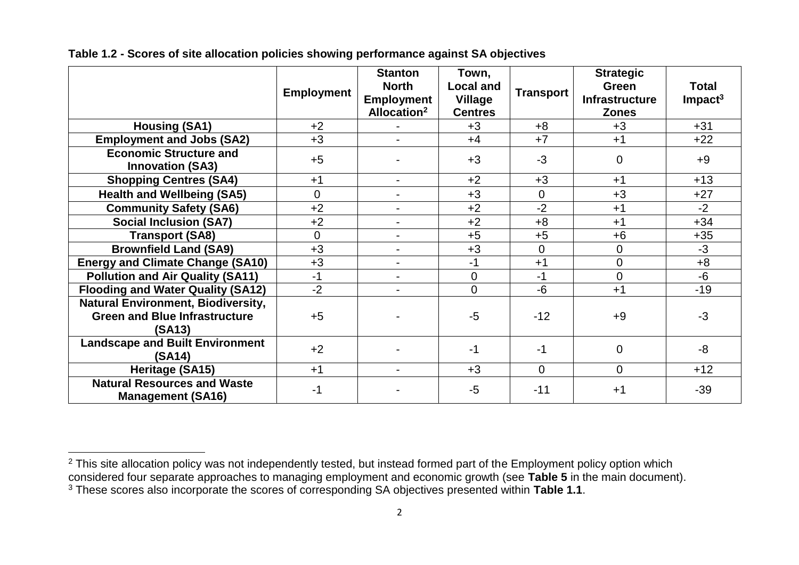|                                                                                             | <b>Employment</b> | <b>Stanton</b><br><b>North</b><br><b>Employment</b><br>Allocation <sup>2</sup> | Town,<br><b>Local and</b><br><b>Village</b><br><b>Centres</b> | <b>Transport</b> | <b>Strategic</b><br><b>Green</b><br><b>Infrastructure</b><br><b>Zones</b> | <b>Total</b><br>$Im$ pact <sup>3</sup> |
|---------------------------------------------------------------------------------------------|-------------------|--------------------------------------------------------------------------------|---------------------------------------------------------------|------------------|---------------------------------------------------------------------------|----------------------------------------|
| <b>Housing (SA1)</b>                                                                        | $+2$              |                                                                                | $+3$                                                          | $+8$             | $+3$                                                                      | $+31$                                  |
| <b>Employment and Jobs (SA2)</b>                                                            | $+3$              | $\blacksquare$                                                                 | $+4$                                                          | $+7$             | $+1$                                                                      | $+22$                                  |
| <b>Economic Structure and</b><br><b>Innovation (SA3)</b>                                    | $+5$              |                                                                                | $+3$                                                          | $-3$             | $\Omega$                                                                  | $+9$                                   |
| <b>Shopping Centres (SA4)</b>                                                               | $+1$              | $\blacksquare$                                                                 | $+2$                                                          | $+3$             | $+1$                                                                      | $+13$                                  |
| <b>Health and Wellbeing (SA5)</b>                                                           | $\overline{0}$    | $\blacksquare$                                                                 | $+3$                                                          | $\overline{0}$   | $+3$                                                                      | $+27$                                  |
| <b>Community Safety (SA6)</b>                                                               | $+2$              | $\overline{\phantom{a}}$                                                       | $+2$                                                          | $-2$             | $+1$                                                                      | $-2$                                   |
| <b>Social Inclusion (SA7)</b>                                                               | $+2$              | $\blacksquare$                                                                 | $+2$                                                          | $+8$             | $+1$                                                                      | $+34$                                  |
| <b>Transport (SA8)</b>                                                                      | $\Omega$          | $\blacksquare$                                                                 | $+5$                                                          | $+5$             | $+6$                                                                      | $+35$                                  |
| <b>Brownfield Land (SA9)</b>                                                                | $+3$              | $\blacksquare$                                                                 | $+3$                                                          | $\overline{0}$   | 0                                                                         | $-3$                                   |
| <b>Energy and Climate Change (SA10)</b>                                                     | $+3$              | $\overline{\phantom{a}}$                                                       | $-1$                                                          | $+1$             | $\overline{0}$                                                            | $+8$                                   |
| <b>Pollution and Air Quality (SA11)</b>                                                     | $-1$              | $\blacksquare$                                                                 | 0                                                             | $-1$             | 0                                                                         | $-6$                                   |
| <b>Flooding and Water Quality (SA12)</b>                                                    | $-2$              | $\overline{\phantom{0}}$                                                       | $\overline{0}$                                                | $-6$             | $+1$                                                                      | $-19$                                  |
| <b>Natural Environment, Biodiversity,</b><br><b>Green and Blue Infrastructure</b><br>(SA13) | $+5$              |                                                                                | $-5$                                                          | $-12$            | $+9$                                                                      | $-3$                                   |
| <b>Landscape and Built Environment</b><br>(SA14)                                            | $+2$              |                                                                                | $-1$                                                          | $-1$             | 0                                                                         | $-8$                                   |
| Heritage (SA15)                                                                             | $+1$              | $\blacksquare$                                                                 | $+3$                                                          | $\overline{0}$   | $\Omega$                                                                  | $+12$                                  |
| <b>Natural Resources and Waste</b><br><b>Management (SA16)</b>                              | $-1$              |                                                                                | $-5$                                                          | $-11$            | $+1$                                                                      | $-39$                                  |

## **Table 1.2 - Scores of site allocation policies showing performance against SA objectives**

 $\overline{a}$ 

<sup>&</sup>lt;sup>2</sup> This site allocation policy was not independently tested, but instead formed part of the Employment policy option which considered four separate approaches to managing employment and economic growth (see **Table 5** in the main document). <sup>3</sup> These scores also incorporate the scores of corresponding SA objectives presented within **Table 1.1**.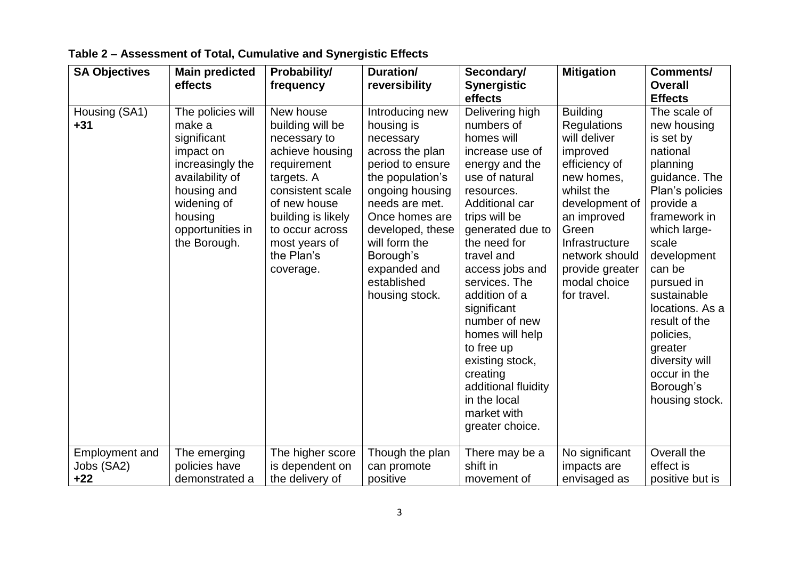| <b>SA Objectives</b>                         | <b>Main predicted</b><br>effects                                                                                                                                            | Probability/<br>frequency                                                                                                                                                                                              | Duration/<br>reversibility                                                                                                                                                                                                                                      | Secondary/<br><b>Synergistic</b><br>effects                                                                                                                                                                                                                                                                                                                                                                                         | <b>Mitigation</b>                                                                                                                                                                                                                              | <b>Comments/</b><br><b>Overall</b><br><b>Effects</b>                                                                                                                                                                                                                                                                                          |
|----------------------------------------------|-----------------------------------------------------------------------------------------------------------------------------------------------------------------------------|------------------------------------------------------------------------------------------------------------------------------------------------------------------------------------------------------------------------|-----------------------------------------------------------------------------------------------------------------------------------------------------------------------------------------------------------------------------------------------------------------|-------------------------------------------------------------------------------------------------------------------------------------------------------------------------------------------------------------------------------------------------------------------------------------------------------------------------------------------------------------------------------------------------------------------------------------|------------------------------------------------------------------------------------------------------------------------------------------------------------------------------------------------------------------------------------------------|-----------------------------------------------------------------------------------------------------------------------------------------------------------------------------------------------------------------------------------------------------------------------------------------------------------------------------------------------|
| Housing (SA1)<br>$+31$                       | The policies will<br>make a<br>significant<br>impact on<br>increasingly the<br>availability of<br>housing and<br>widening of<br>housing<br>opportunities in<br>the Borough. | New house<br>building will be<br>necessary to<br>achieve housing<br>requirement<br>targets. A<br>consistent scale<br>of new house<br>building is likely<br>to occur across<br>most years of<br>the Plan's<br>coverage. | Introducing new<br>housing is<br>necessary<br>across the plan<br>period to ensure<br>the population's<br>ongoing housing<br>needs are met.<br>Once homes are<br>developed, these<br>will form the<br>Borough's<br>expanded and<br>established<br>housing stock. | Delivering high<br>numbers of<br>homes will<br>increase use of<br>energy and the<br>use of natural<br>resources.<br>Additional car<br>trips will be<br>generated due to<br>the need for<br>travel and<br>access jobs and<br>services. The<br>addition of a<br>significant<br>number of new<br>homes will help<br>to free up<br>existing stock,<br>creating<br>additional fluidity<br>in the local<br>market with<br>greater choice. | <b>Building</b><br><b>Regulations</b><br>will deliver<br>improved<br>efficiency of<br>new homes,<br>whilst the<br>development of<br>an improved<br>Green<br>Infrastructure<br>network should<br>provide greater<br>modal choice<br>for travel. | The scale of<br>new housing<br>is set by<br>national<br>planning<br>guidance. The<br>Plan's policies<br>provide a<br>framework in<br>which large-<br>scale<br>development<br>can be<br>pursued in<br>sustainable<br>locations. As a<br>result of the<br>policies,<br>greater<br>diversity will<br>occur in the<br>Borough's<br>housing stock. |
| <b>Employment and</b><br>Jobs (SA2)<br>$+22$ | The emerging<br>policies have<br>demonstrated a                                                                                                                             | The higher score<br>is dependent on<br>the delivery of                                                                                                                                                                 | Though the plan<br>can promote<br>positive                                                                                                                                                                                                                      | There may be a<br>shift in<br>movement of                                                                                                                                                                                                                                                                                                                                                                                           | No significant<br>impacts are<br>envisaged as                                                                                                                                                                                                  | Overall the<br>effect is<br>positive but is                                                                                                                                                                                                                                                                                                   |

## **Table 2 – Assessment of Total, Cumulative and Synergistic Effects**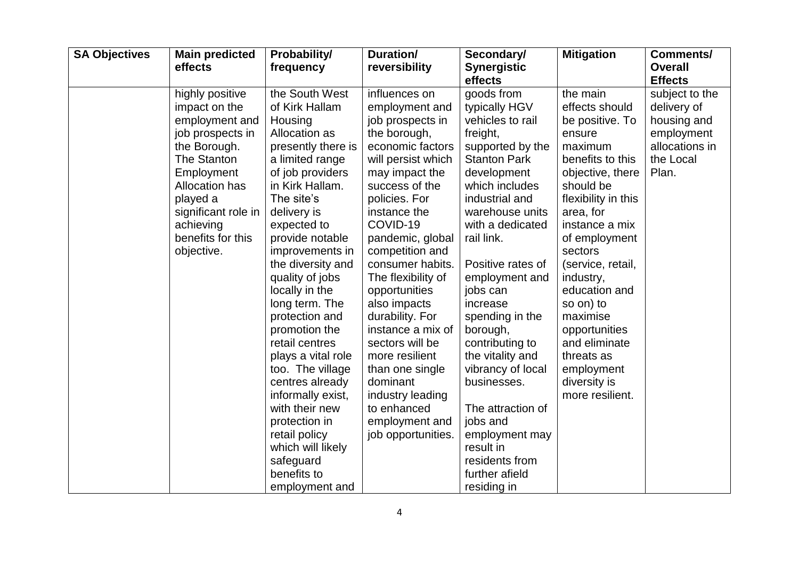| <b>SA Objectives</b> | <b>Main predicted</b><br>effects                                                                                                                                                                                                | Probability/<br>frequency                                                                                                                                                                                                                                                                                                                                                                                                                                                                                                                                                | Duration/<br>reversibility                                                                                                                                                                                                                                                                                                                                                                                                                                                                              | Secondary/<br><b>Synergistic</b><br>effects                                                                                                                                                                                                                                                                                                                                                                                                                                                                | <b>Mitigation</b>                                                                                                                                                                                                                                                                                                                                                                      | <b>Comments/</b><br><b>Overall</b><br><b>Effects</b>                                               |
|----------------------|---------------------------------------------------------------------------------------------------------------------------------------------------------------------------------------------------------------------------------|--------------------------------------------------------------------------------------------------------------------------------------------------------------------------------------------------------------------------------------------------------------------------------------------------------------------------------------------------------------------------------------------------------------------------------------------------------------------------------------------------------------------------------------------------------------------------|---------------------------------------------------------------------------------------------------------------------------------------------------------------------------------------------------------------------------------------------------------------------------------------------------------------------------------------------------------------------------------------------------------------------------------------------------------------------------------------------------------|------------------------------------------------------------------------------------------------------------------------------------------------------------------------------------------------------------------------------------------------------------------------------------------------------------------------------------------------------------------------------------------------------------------------------------------------------------------------------------------------------------|----------------------------------------------------------------------------------------------------------------------------------------------------------------------------------------------------------------------------------------------------------------------------------------------------------------------------------------------------------------------------------------|----------------------------------------------------------------------------------------------------|
|                      | highly positive<br>impact on the<br>employment and<br>job prospects in<br>the Borough.<br>The Stanton<br>Employment<br><b>Allocation has</b><br>played a<br>significant role in<br>achieving<br>benefits for this<br>objective. | the South West<br>of Kirk Hallam<br>Housing<br>Allocation as<br>presently there is<br>a limited range<br>of job providers<br>in Kirk Hallam.<br>The site's<br>delivery is<br>expected to<br>provide notable<br>improvements in<br>the diversity and<br>quality of jobs<br>locally in the<br>long term. The<br>protection and<br>promotion the<br>retail centres<br>plays a vital role<br>too. The village<br>centres already<br>informally exist,<br>with their new<br>protection in<br>retail policy<br>which will likely<br>safeguard<br>benefits to<br>employment and | influences on<br>employment and<br>job prospects in<br>the borough,<br>economic factors<br>will persist which<br>may impact the<br>success of the<br>policies. For<br>instance the<br>COVID-19<br>pandemic, global<br>competition and<br>consumer habits.<br>The flexibility of<br>opportunities<br>also impacts<br>durability. For<br>instance a mix of<br>sectors will be<br>more resilient<br>than one single<br>dominant<br>industry leading<br>to enhanced<br>employment and<br>job opportunities. | goods from<br>typically HGV<br>vehicles to rail<br>freight,<br>supported by the<br><b>Stanton Park</b><br>development<br>which includes<br>industrial and<br>warehouse units<br>with a dedicated<br>rail link.<br>Positive rates of<br>employment and<br>jobs can<br>increase<br>spending in the<br>borough,<br>contributing to<br>the vitality and<br>vibrancy of local<br>businesses.<br>The attraction of<br>jobs and<br>employment may<br>result in<br>residents from<br>further afield<br>residing in | the main<br>effects should<br>be positive. To<br>ensure<br>maximum<br>benefits to this<br>objective, there<br>should be<br>flexibility in this<br>area, for<br>instance a mix<br>of employment<br>sectors<br>(service, retail,<br>industry,<br>education and<br>so on) to<br>maximise<br>opportunities<br>and eliminate<br>threats as<br>employment<br>diversity is<br>more resilient. | subject to the<br>delivery of<br>housing and<br>employment<br>allocations in<br>the Local<br>Plan. |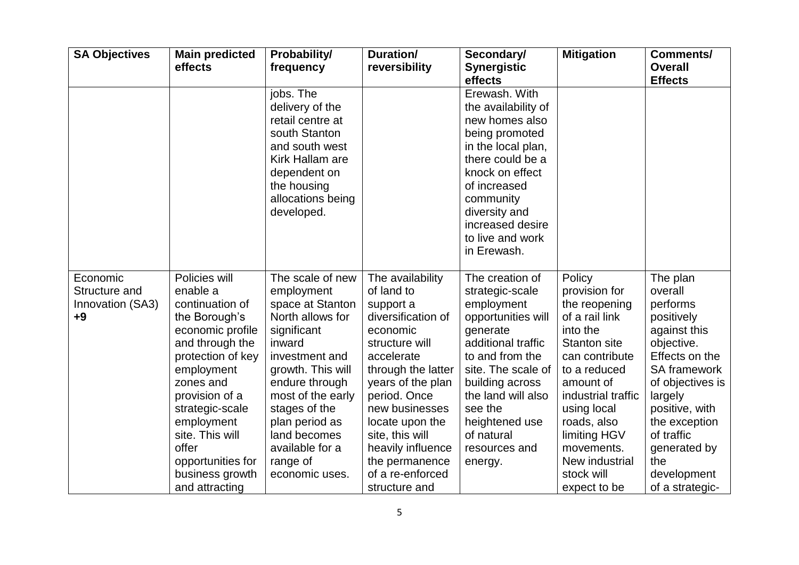| <b>SA Objectives</b>                                  | <b>Main predicted</b><br>effects                                                                                                                                                                                                                                                              | Probability/<br>frequency                                                                                                                                                                                                                                                         | Duration/<br>reversibility                                                                                                                                                                                                                                                                                   | Secondary/<br><b>Synergistic</b><br>effects                                                                                                                                                                                                                       | <b>Mitigation</b>                                                                                                                                                                                                                                                              | <b>Comments/</b><br><b>Overall</b><br><b>Effects</b>                                                                                                                                                                                                   |
|-------------------------------------------------------|-----------------------------------------------------------------------------------------------------------------------------------------------------------------------------------------------------------------------------------------------------------------------------------------------|-----------------------------------------------------------------------------------------------------------------------------------------------------------------------------------------------------------------------------------------------------------------------------------|--------------------------------------------------------------------------------------------------------------------------------------------------------------------------------------------------------------------------------------------------------------------------------------------------------------|-------------------------------------------------------------------------------------------------------------------------------------------------------------------------------------------------------------------------------------------------------------------|--------------------------------------------------------------------------------------------------------------------------------------------------------------------------------------------------------------------------------------------------------------------------------|--------------------------------------------------------------------------------------------------------------------------------------------------------------------------------------------------------------------------------------------------------|
|                                                       |                                                                                                                                                                                                                                                                                               | jobs. The<br>delivery of the<br>retail centre at<br>south Stanton<br>and south west<br>Kirk Hallam are<br>dependent on<br>the housing<br>allocations being<br>developed.                                                                                                          |                                                                                                                                                                                                                                                                                                              | Erewash. With<br>the availability of<br>new homes also<br>being promoted<br>in the local plan,<br>there could be a<br>knock on effect<br>of increased<br>community<br>diversity and<br>increased desire<br>to live and work<br>in Erewash.                        |                                                                                                                                                                                                                                                                                |                                                                                                                                                                                                                                                        |
| Economic<br>Structure and<br>Innovation (SA3)<br>$+9$ | Policies will<br>enable a<br>continuation of<br>the Borough's<br>economic profile<br>and through the<br>protection of key<br>employment<br>zones and<br>provision of a<br>strategic-scale<br>employment<br>site. This will<br>offer<br>opportunities for<br>business growth<br>and attracting | The scale of new<br>employment<br>space at Stanton<br>North allows for<br>significant<br>inward<br>investment and<br>growth. This will<br>endure through<br>most of the early<br>stages of the<br>plan period as<br>land becomes<br>available for a<br>range of<br>economic uses. | The availability<br>of land to<br>support a<br>diversification of<br>economic<br>structure will<br>accelerate<br>through the latter<br>years of the plan<br>period. Once<br>new businesses<br>locate upon the<br>site, this will<br>heavily influence<br>the permanence<br>of a re-enforced<br>structure and | The creation of<br>strategic-scale<br>employment<br>opportunities will<br>generate<br>additional traffic<br>to and from the<br>site. The scale of<br>building across<br>the land will also<br>see the<br>heightened use<br>of natural<br>resources and<br>energy. | Policy<br>provision for<br>the reopening<br>of a rail link<br>into the<br><b>Stanton site</b><br>can contribute<br>to a reduced<br>amount of<br>industrial traffic<br>using local<br>roads, also<br>limiting HGV<br>movements.<br>New industrial<br>stock will<br>expect to be | The plan<br>overall<br>performs<br>positively<br>against this<br>objective.<br>Effects on the<br>SA framework<br>of objectives is<br>largely<br>positive, with<br>the exception<br>of traffic<br>generated by<br>the<br>development<br>of a strategic- |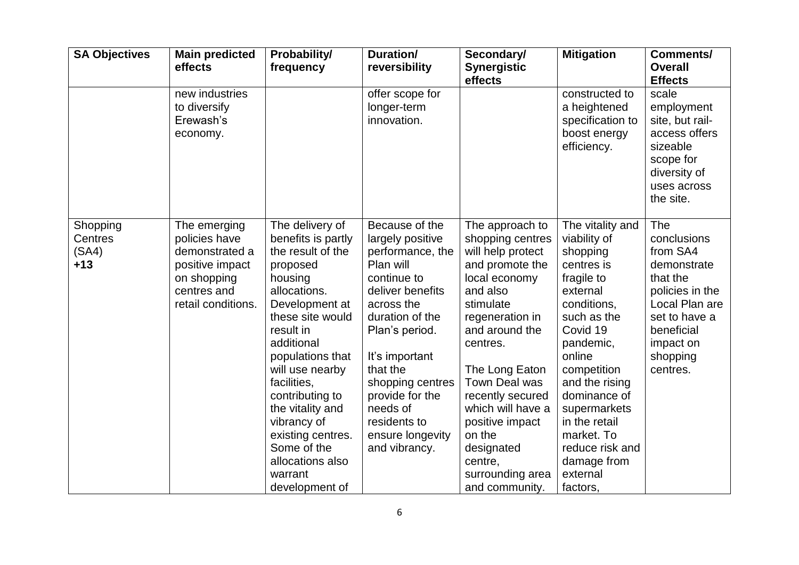| <b>SA Objectives</b>                  | <b>Main predicted</b><br>effects                                                                                       | Probability/<br>frequency                                                                                                                                                                                                                                                                                                                                           | Duration/<br>reversibility                                                                                                                                                                                                                                                                      | Secondary/<br><b>Synergistic</b><br>effects                                                                                                                                                                                                                                                                                                    | <b>Mitigation</b>                                                                                                                                                                                                                                                                                               | <b>Comments/</b><br><b>Overall</b><br><b>Effects</b>                                                                                                               |
|---------------------------------------|------------------------------------------------------------------------------------------------------------------------|---------------------------------------------------------------------------------------------------------------------------------------------------------------------------------------------------------------------------------------------------------------------------------------------------------------------------------------------------------------------|-------------------------------------------------------------------------------------------------------------------------------------------------------------------------------------------------------------------------------------------------------------------------------------------------|------------------------------------------------------------------------------------------------------------------------------------------------------------------------------------------------------------------------------------------------------------------------------------------------------------------------------------------------|-----------------------------------------------------------------------------------------------------------------------------------------------------------------------------------------------------------------------------------------------------------------------------------------------------------------|--------------------------------------------------------------------------------------------------------------------------------------------------------------------|
|                                       | new industries<br>to diversify<br>Erewash's<br>economy.                                                                |                                                                                                                                                                                                                                                                                                                                                                     | offer scope for<br>longer-term<br>innovation.                                                                                                                                                                                                                                                   |                                                                                                                                                                                                                                                                                                                                                | constructed to<br>a heightened<br>specification to<br>boost energy<br>efficiency.                                                                                                                                                                                                                               | scale<br>employment<br>site, but rail-<br>access offers<br>sizeable<br>scope for<br>diversity of<br>uses across<br>the site.                                       |
| Shopping<br>Centres<br>(SA4)<br>$+13$ | The emerging<br>policies have<br>demonstrated a<br>positive impact<br>on shopping<br>centres and<br>retail conditions. | The delivery of<br>benefits is partly<br>the result of the<br>proposed<br>housing<br>allocations.<br>Development at<br>these site would<br>result in<br>additional<br>populations that<br>will use nearby<br>facilities,<br>contributing to<br>the vitality and<br>vibrancy of<br>existing centres.<br>Some of the<br>allocations also<br>warrant<br>development of | Because of the<br>largely positive<br>performance, the<br>Plan will<br>continue to<br>deliver benefits<br>across the<br>duration of the<br>Plan's period.<br>It's important<br>that the<br>shopping centres<br>provide for the<br>needs of<br>residents to<br>ensure longevity<br>and vibrancy. | The approach to<br>shopping centres<br>will help protect<br>and promote the<br>local economy<br>and also<br>stimulate<br>regeneration in<br>and around the<br>centres.<br>The Long Eaton<br>Town Deal was<br>recently secured<br>which will have a<br>positive impact<br>on the<br>designated<br>centre,<br>surrounding area<br>and community. | The vitality and<br>viability of<br>shopping<br>centres is<br>fragile to<br>external<br>conditions,<br>such as the<br>Covid 19<br>pandemic,<br>online<br>competition<br>and the rising<br>dominance of<br>supermarkets<br>in the retail<br>market. To<br>reduce risk and<br>damage from<br>external<br>factors, | The<br>conclusions<br>from SA4<br>demonstrate<br>that the<br>policies in the<br>Local Plan are<br>set to have a<br>beneficial<br>impact on<br>shopping<br>centres. |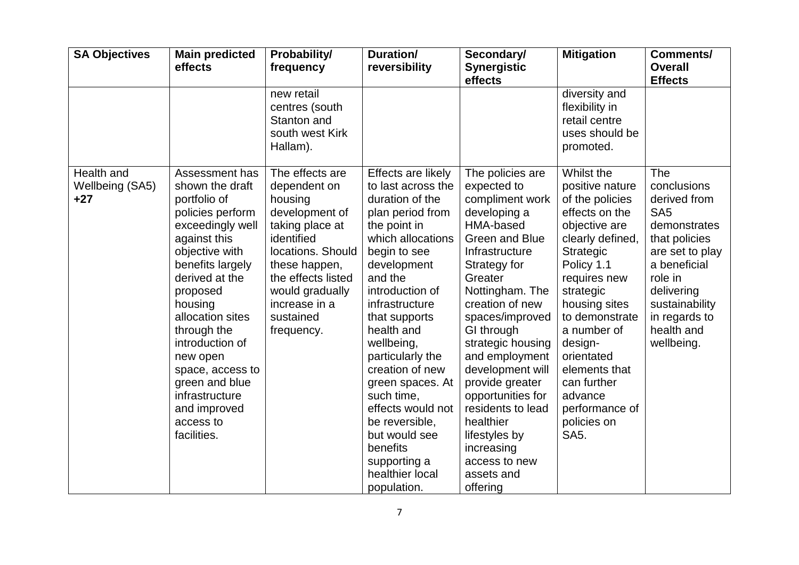| <b>SA Objectives</b>                   | <b>Main predicted</b><br>effects                                                                                                                                                                                                                                                                                                                               | Probability/<br>frequency                                                                                                                                                                                                | Duration/<br>reversibility                                                                                                                                                                                                                                                                                                                                                                                                                      | Secondary/<br><b>Synergistic</b><br>effects                                                                                                                                                                                                                                                                                                                                                                                                 | <b>Mitigation</b>                                                                                                                                                                                                                                                                                                                            | Comments/<br><b>Overall</b><br><b>Effects</b>                                                                                                                                                                     |
|----------------------------------------|----------------------------------------------------------------------------------------------------------------------------------------------------------------------------------------------------------------------------------------------------------------------------------------------------------------------------------------------------------------|--------------------------------------------------------------------------------------------------------------------------------------------------------------------------------------------------------------------------|-------------------------------------------------------------------------------------------------------------------------------------------------------------------------------------------------------------------------------------------------------------------------------------------------------------------------------------------------------------------------------------------------------------------------------------------------|---------------------------------------------------------------------------------------------------------------------------------------------------------------------------------------------------------------------------------------------------------------------------------------------------------------------------------------------------------------------------------------------------------------------------------------------|----------------------------------------------------------------------------------------------------------------------------------------------------------------------------------------------------------------------------------------------------------------------------------------------------------------------------------------------|-------------------------------------------------------------------------------------------------------------------------------------------------------------------------------------------------------------------|
|                                        |                                                                                                                                                                                                                                                                                                                                                                | new retail<br>centres (south<br>Stanton and<br>south west Kirk<br>Hallam).                                                                                                                                               |                                                                                                                                                                                                                                                                                                                                                                                                                                                 |                                                                                                                                                                                                                                                                                                                                                                                                                                             | diversity and<br>flexibility in<br>retail centre<br>uses should be<br>promoted.                                                                                                                                                                                                                                                              |                                                                                                                                                                                                                   |
| Health and<br>Wellbeing (SA5)<br>$+27$ | Assessment has<br>shown the draft<br>portfolio of<br>policies perform<br>exceedingly well<br>against this<br>objective with<br>benefits largely<br>derived at the<br>proposed<br>housing<br>allocation sites<br>through the<br>introduction of<br>new open<br>space, access to<br>green and blue<br>infrastructure<br>and improved<br>access to<br>facilities. | The effects are<br>dependent on<br>housing<br>development of<br>taking place at<br>identified<br>locations. Should<br>these happen,<br>the effects listed<br>would gradually<br>increase in a<br>sustained<br>frequency. | Effects are likely<br>to last across the<br>duration of the<br>plan period from<br>the point in<br>which allocations<br>begin to see<br>development<br>and the<br>introduction of<br>infrastructure<br>that supports<br>health and<br>wellbeing,<br>particularly the<br>creation of new<br>green spaces. At<br>such time,<br>effects would not<br>be reversible,<br>but would see<br>benefits<br>supporting a<br>healthier local<br>population. | The policies are<br>expected to<br>compliment work<br>developing a<br>HMA-based<br><b>Green and Blue</b><br>Infrastructure<br>Strategy for<br>Greater<br>Nottingham. The<br>creation of new<br>spaces/improved<br>GI through<br>strategic housing<br>and employment<br>development will<br>provide greater<br>opportunities for<br>residents to lead<br>healthier<br>lifestyles by<br>increasing<br>access to new<br>assets and<br>offering | Whilst the<br>positive nature<br>of the policies<br>effects on the<br>objective are<br>clearly defined,<br><b>Strategic</b><br>Policy 1.1<br>requires new<br>strategic<br>housing sites<br>to demonstrate<br>a number of<br>design-<br>orientated<br>elements that<br>can further<br>advance<br>performance of<br>policies on<br><b>SA5.</b> | The<br>conclusions<br>derived from<br>SA <sub>5</sub><br>demonstrates<br>that policies<br>are set to play<br>a beneficial<br>role in<br>delivering<br>sustainability<br>in regards to<br>health and<br>wellbeing. |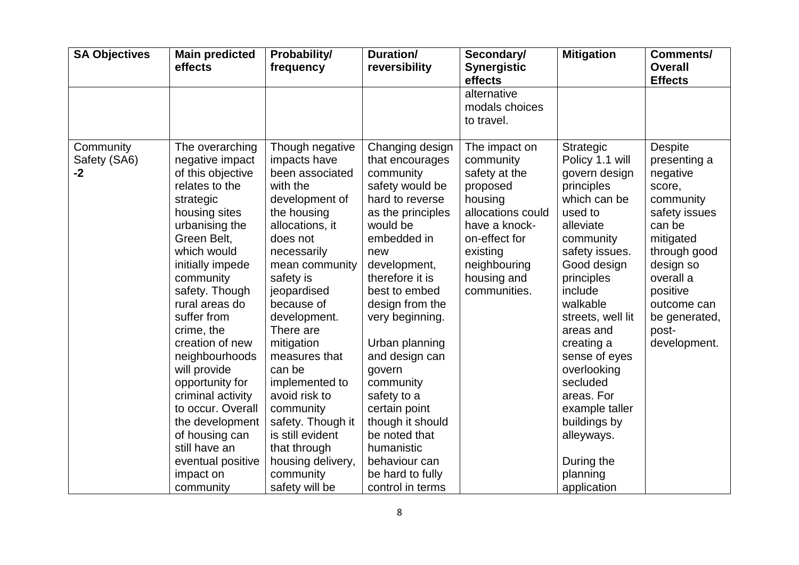| <b>SA Objectives</b>            | <b>Main predicted</b><br>effects                                                                                                                                                                                                                                                                                                                                                                                                                                                 | Probability/<br>frequency                                                                                                                                                                                                                                                                                                                                                                                                                    | <b>Duration/</b><br>reversibility                                                                                                                                                                                                                                                                                                                                                                                                             | Secondary/<br><b>Synergistic</b><br>effects                                                                                                                                          | <b>Mitigation</b>                                                                                                                                                                                                                                                                                                                                                                         | <b>Comments/</b><br><b>Overall</b><br><b>Effects</b>                                                                                                                                                                     |
|---------------------------------|----------------------------------------------------------------------------------------------------------------------------------------------------------------------------------------------------------------------------------------------------------------------------------------------------------------------------------------------------------------------------------------------------------------------------------------------------------------------------------|----------------------------------------------------------------------------------------------------------------------------------------------------------------------------------------------------------------------------------------------------------------------------------------------------------------------------------------------------------------------------------------------------------------------------------------------|-----------------------------------------------------------------------------------------------------------------------------------------------------------------------------------------------------------------------------------------------------------------------------------------------------------------------------------------------------------------------------------------------------------------------------------------------|--------------------------------------------------------------------------------------------------------------------------------------------------------------------------------------|-------------------------------------------------------------------------------------------------------------------------------------------------------------------------------------------------------------------------------------------------------------------------------------------------------------------------------------------------------------------------------------------|--------------------------------------------------------------------------------------------------------------------------------------------------------------------------------------------------------------------------|
|                                 |                                                                                                                                                                                                                                                                                                                                                                                                                                                                                  |                                                                                                                                                                                                                                                                                                                                                                                                                                              |                                                                                                                                                                                                                                                                                                                                                                                                                                               | alternative<br>modals choices<br>to travel.                                                                                                                                          |                                                                                                                                                                                                                                                                                                                                                                                           |                                                                                                                                                                                                                          |
| Community<br>Safety (SA6)<br>-2 | The overarching<br>negative impact<br>of this objective<br>relates to the<br>strategic<br>housing sites<br>urbanising the<br>Green Belt,<br>which would<br>initially impede<br>community<br>safety. Though<br>rural areas do<br>suffer from<br>crime, the<br>creation of new<br>neighbourhoods<br>will provide<br>opportunity for<br>criminal activity<br>to occur. Overall<br>the development<br>of housing can<br>still have an<br>eventual positive<br>impact on<br>community | Though negative<br>impacts have<br>been associated<br>with the<br>development of<br>the housing<br>allocations, it<br>does not<br>necessarily<br>mean community<br>safety is<br>jeopardised<br>because of<br>development.<br>There are<br>mitigation<br>measures that<br>can be<br>implemented to<br>avoid risk to<br>community<br>safety. Though it<br>is still evident<br>that through<br>housing delivery,<br>community<br>safety will be | Changing design<br>that encourages<br>community<br>safety would be<br>hard to reverse<br>as the principles<br>would be<br>embedded in<br>new<br>development,<br>therefore it is<br>best to embed<br>design from the<br>very beginning.<br>Urban planning<br>and design can<br>govern<br>community<br>safety to a<br>certain point<br>though it should<br>be noted that<br>humanistic<br>behaviour can<br>be hard to fully<br>control in terms | The impact on<br>community<br>safety at the<br>proposed<br>housing<br>allocations could<br>have a knock-<br>on-effect for<br>existing<br>neighbouring<br>housing and<br>communities. | Strategic<br>Policy 1.1 will<br>govern design<br>principles<br>which can be<br>used to<br>alleviate<br>community<br>safety issues.<br>Good design<br>principles<br>include<br>walkable<br>streets, well lit<br>areas and<br>creating a<br>sense of eyes<br>overlooking<br>secluded<br>areas. For<br>example taller<br>buildings by<br>alleyways.<br>During the<br>planning<br>application | <b>Despite</b><br>presenting a<br>negative<br>score,<br>community<br>safety issues<br>can be<br>mitigated<br>through good<br>design so<br>overall a<br>positive<br>outcome can<br>be generated,<br>post-<br>development. |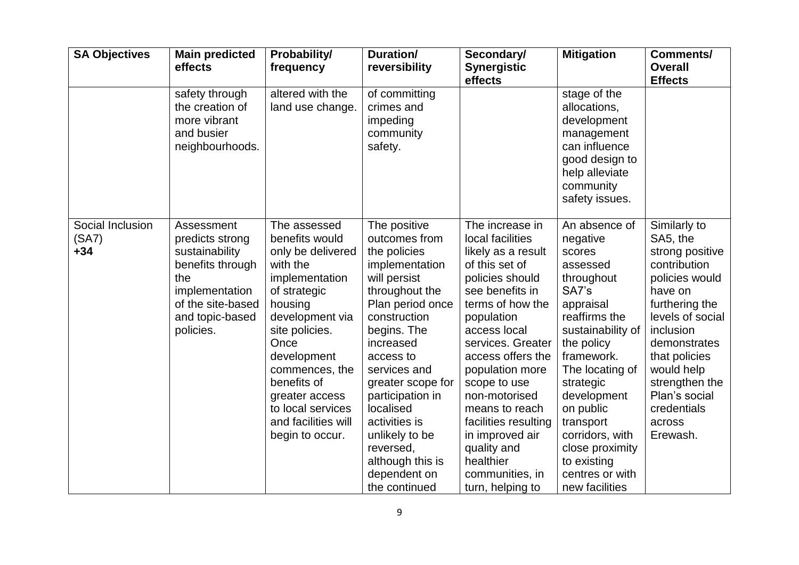| <b>SA Objectives</b>               | <b>Main predicted</b><br>effects                                                                                                                  | <b>Probability/</b><br>frequency                                                                                                                                                                                                                                                           | Duration/<br>reversibility                                                                                                                                                                                                                                                                                                                                | Secondary/<br><b>Synergistic</b><br>effects                                                                                                                                                                                                                                                                                                                                                       | <b>Mitigation</b>                                                                                                                                                                                                                                                                                                        | <b>Comments/</b><br><b>Overall</b><br><b>Effects</b>                                                                                                                                                                                                               |
|------------------------------------|---------------------------------------------------------------------------------------------------------------------------------------------------|--------------------------------------------------------------------------------------------------------------------------------------------------------------------------------------------------------------------------------------------------------------------------------------------|-----------------------------------------------------------------------------------------------------------------------------------------------------------------------------------------------------------------------------------------------------------------------------------------------------------------------------------------------------------|---------------------------------------------------------------------------------------------------------------------------------------------------------------------------------------------------------------------------------------------------------------------------------------------------------------------------------------------------------------------------------------------------|--------------------------------------------------------------------------------------------------------------------------------------------------------------------------------------------------------------------------------------------------------------------------------------------------------------------------|--------------------------------------------------------------------------------------------------------------------------------------------------------------------------------------------------------------------------------------------------------------------|
|                                    | safety through<br>the creation of<br>more vibrant<br>and busier<br>neighbourhoods.                                                                | altered with the<br>land use change.                                                                                                                                                                                                                                                       | of committing<br>crimes and<br>impeding<br>community<br>safety.                                                                                                                                                                                                                                                                                           |                                                                                                                                                                                                                                                                                                                                                                                                   | stage of the<br>allocations,<br>development<br>management<br>can influence<br>good design to<br>help alleviate<br>community<br>safety issues.                                                                                                                                                                            |                                                                                                                                                                                                                                                                    |
| Social Inclusion<br>(SA7)<br>$+34$ | Assessment<br>predicts strong<br>sustainability<br>benefits through<br>the<br>implementation<br>of the site-based<br>and topic-based<br>policies. | The assessed<br>benefits would<br>only be delivered<br>with the<br>implementation<br>of strategic<br>housing<br>development via<br>site policies.<br>Once<br>development<br>commences, the<br>benefits of<br>greater access<br>to local services<br>and facilities will<br>begin to occur. | The positive<br>outcomes from<br>the policies<br>implementation<br>will persist<br>throughout the<br>Plan period once<br>construction<br>begins. The<br>increased<br>access to<br>services and<br>greater scope for<br>participation in<br>localised<br>activities is<br>unlikely to be<br>reversed,<br>although this is<br>dependent on<br>the continued | The increase in<br>local facilities<br>likely as a result<br>of this set of<br>policies should<br>see benefits in<br>terms of how the<br>population<br>access local<br>services. Greater<br>access offers the<br>population more<br>scope to use<br>non-motorised<br>means to reach<br>facilities resulting<br>in improved air<br>quality and<br>healthier<br>communities, in<br>turn, helping to | An absence of<br>negative<br>scores<br>assessed<br>throughout<br>SA7's<br>appraisal<br>reaffirms the<br>sustainability of<br>the policy<br>framework.<br>The locating of<br>strategic<br>development<br>on public<br>transport<br>corridors, with<br>close proximity<br>to existing<br>centres or with<br>new facilities | Similarly to<br>SA5, the<br>strong positive<br>contribution<br>policies would<br>have on<br>furthering the<br>levels of social<br>inclusion<br>demonstrates<br>that policies<br>would help<br>strengthen the<br>Plan's social<br>credentials<br>across<br>Erewash. |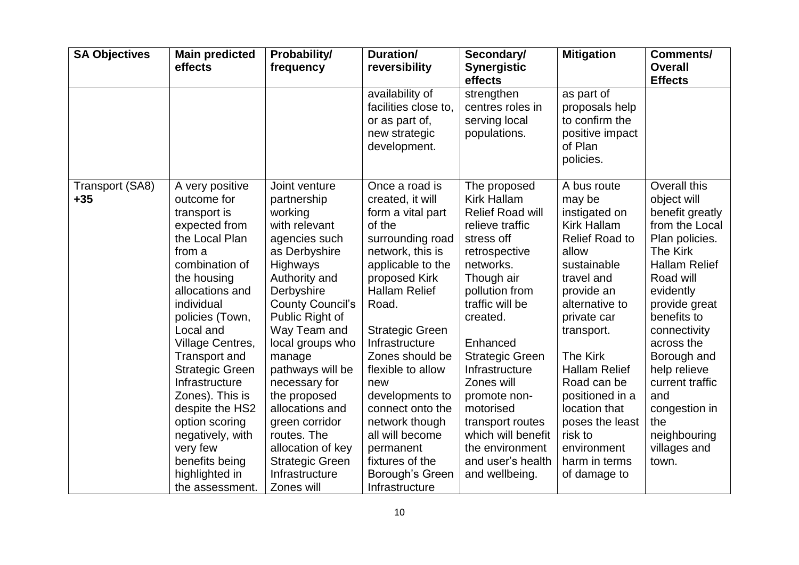| <b>SA Objectives</b>     | <b>Main predicted</b><br>effects                                                                                                                                                                                                                                                                                                                                                                                              | <b>Probability/</b><br>frequency                                                                                                                                                                                                                                                                                                                                                                                          | Duration/<br>reversibility                                                                                                                                                                                                                                                                                                                                                                                                   | Secondary/<br><b>Synergistic</b><br>effects                                                                                                                                                                                                                                                                                                                                                 | <b>Mitigation</b>                                                                                                                                                                                                                                                                                                                                      | <b>Comments/</b><br><b>Overall</b><br><b>Effects</b>                                                                                                                                                                                                                                                                                     |
|--------------------------|-------------------------------------------------------------------------------------------------------------------------------------------------------------------------------------------------------------------------------------------------------------------------------------------------------------------------------------------------------------------------------------------------------------------------------|---------------------------------------------------------------------------------------------------------------------------------------------------------------------------------------------------------------------------------------------------------------------------------------------------------------------------------------------------------------------------------------------------------------------------|------------------------------------------------------------------------------------------------------------------------------------------------------------------------------------------------------------------------------------------------------------------------------------------------------------------------------------------------------------------------------------------------------------------------------|---------------------------------------------------------------------------------------------------------------------------------------------------------------------------------------------------------------------------------------------------------------------------------------------------------------------------------------------------------------------------------------------|--------------------------------------------------------------------------------------------------------------------------------------------------------------------------------------------------------------------------------------------------------------------------------------------------------------------------------------------------------|------------------------------------------------------------------------------------------------------------------------------------------------------------------------------------------------------------------------------------------------------------------------------------------------------------------------------------------|
|                          |                                                                                                                                                                                                                                                                                                                                                                                                                               |                                                                                                                                                                                                                                                                                                                                                                                                                           | availability of<br>facilities close to,<br>or as part of,<br>new strategic<br>development.                                                                                                                                                                                                                                                                                                                                   | strengthen<br>centres roles in<br>serving local<br>populations.                                                                                                                                                                                                                                                                                                                             | as part of<br>proposals help<br>to confirm the<br>positive impact<br>of Plan<br>policies.                                                                                                                                                                                                                                                              |                                                                                                                                                                                                                                                                                                                                          |
| Transport (SA8)<br>$+35$ | A very positive<br>outcome for<br>transport is<br>expected from<br>the Local Plan<br>from a<br>combination of<br>the housing<br>allocations and<br>individual<br>policies (Town,<br>Local and<br>Village Centres,<br>Transport and<br><b>Strategic Green</b><br>Infrastructure<br>Zones). This is<br>despite the HS2<br>option scoring<br>negatively, with<br>very few<br>benefits being<br>highlighted in<br>the assessment. | Joint venture<br>partnership<br>working<br>with relevant<br>agencies such<br>as Derbyshire<br>Highways<br>Authority and<br>Derbyshire<br><b>County Council's</b><br>Public Right of<br>Way Team and<br>local groups who<br>manage<br>pathways will be<br>necessary for<br>the proposed<br>allocations and<br>green corridor<br>routes. The<br>allocation of key<br><b>Strategic Green</b><br>Infrastructure<br>Zones will | Once a road is<br>created, it will<br>form a vital part<br>of the<br>surrounding road<br>network, this is<br>applicable to the<br>proposed Kirk<br><b>Hallam Relief</b><br>Road.<br><b>Strategic Green</b><br>Infrastructure<br>Zones should be<br>flexible to allow<br>new<br>developments to<br>connect onto the<br>network though<br>all will become<br>permanent<br>fixtures of the<br>Borough's Green<br>Infrastructure | The proposed<br><b>Kirk Hallam</b><br>Relief Road will<br>relieve traffic<br>stress off<br>retrospective<br>networks.<br>Though air<br>pollution from<br>traffic will be<br>created.<br>Enhanced<br><b>Strategic Green</b><br>Infrastructure<br>Zones will<br>promote non-<br>motorised<br>transport routes<br>which will benefit<br>the environment<br>and user's health<br>and wellbeing. | A bus route<br>may be<br>instigated on<br>Kirk Hallam<br><b>Relief Road to</b><br>allow<br>sustainable<br>travel and<br>provide an<br>alternative to<br>private car<br>transport.<br>The Kirk<br><b>Hallam Relief</b><br>Road can be<br>positioned in a<br>location that<br>poses the least<br>risk to<br>environment<br>harm in terms<br>of damage to | Overall this<br>object will<br>benefit greatly<br>from the Local<br>Plan policies.<br>The Kirk<br><b>Hallam Relief</b><br>Road will<br>evidently<br>provide great<br>benefits to<br>connectivity<br>across the<br>Borough and<br>help relieve<br>current traffic<br>and<br>congestion in<br>the<br>neighbouring<br>villages and<br>town. |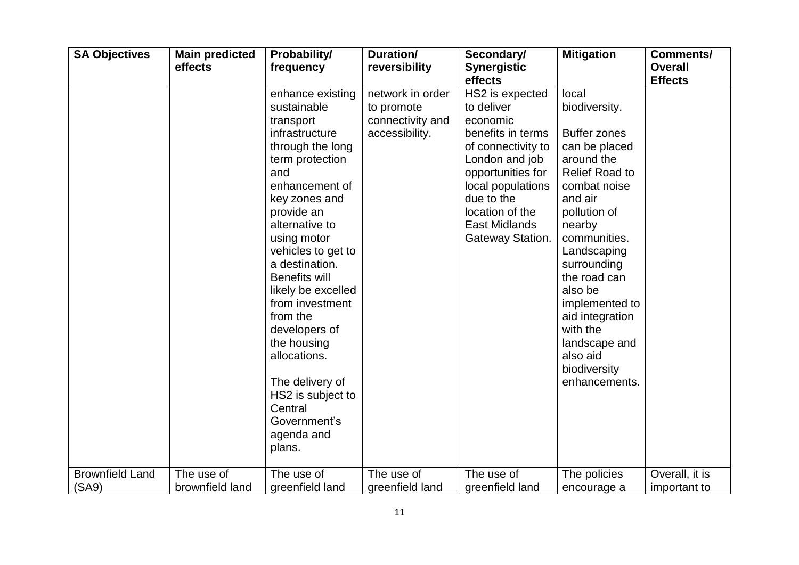| <b>SA Objectives</b>            | <b>Main predicted</b><br>effects | <b>Probability/</b><br>frequency                                                                                                                                                                                                                                                                                                                                                                                                                               | Duration/<br>reversibility                                           | Secondary/<br><b>Synergistic</b><br>effects                                                                                                                                                                            | <b>Mitigation</b>                                                                                                                                                                                                                                                                                                                                  | <b>Comments/</b><br><b>Overall</b><br><b>Effects</b> |
|---------------------------------|----------------------------------|----------------------------------------------------------------------------------------------------------------------------------------------------------------------------------------------------------------------------------------------------------------------------------------------------------------------------------------------------------------------------------------------------------------------------------------------------------------|----------------------------------------------------------------------|------------------------------------------------------------------------------------------------------------------------------------------------------------------------------------------------------------------------|----------------------------------------------------------------------------------------------------------------------------------------------------------------------------------------------------------------------------------------------------------------------------------------------------------------------------------------------------|------------------------------------------------------|
|                                 |                                  | enhance existing<br>sustainable<br>transport<br>infrastructure<br>through the long<br>term protection<br>and<br>enhancement of<br>key zones and<br>provide an<br>alternative to<br>using motor<br>vehicles to get to<br>a destination.<br><b>Benefits will</b><br>likely be excelled<br>from investment<br>from the<br>developers of<br>the housing<br>allocations.<br>The delivery of<br>HS2 is subject to<br>Central<br>Government's<br>agenda and<br>plans. | network in order<br>to promote<br>connectivity and<br>accessibility. | HS2 is expected<br>to deliver<br>economic<br>benefits in terms<br>of connectivity to<br>London and job<br>opportunities for<br>local populations<br>due to the<br>location of the<br>East Midlands<br>Gateway Station. | local<br>biodiversity.<br><b>Buffer zones</b><br>can be placed<br>around the<br><b>Relief Road to</b><br>combat noise<br>and air<br>pollution of<br>nearby<br>communities.<br>Landscaping<br>surrounding<br>the road can<br>also be<br>implemented to<br>aid integration<br>with the<br>landscape and<br>also aid<br>biodiversity<br>enhancements. |                                                      |
| <b>Brownfield Land</b><br>(SA9) | The use of<br>brownfield land    | The use of<br>greenfield land                                                                                                                                                                                                                                                                                                                                                                                                                                  | The use of<br>greenfield land                                        | The use of<br>greenfield land                                                                                                                                                                                          | The policies<br>encourage a                                                                                                                                                                                                                                                                                                                        | Overall, it is<br>important to                       |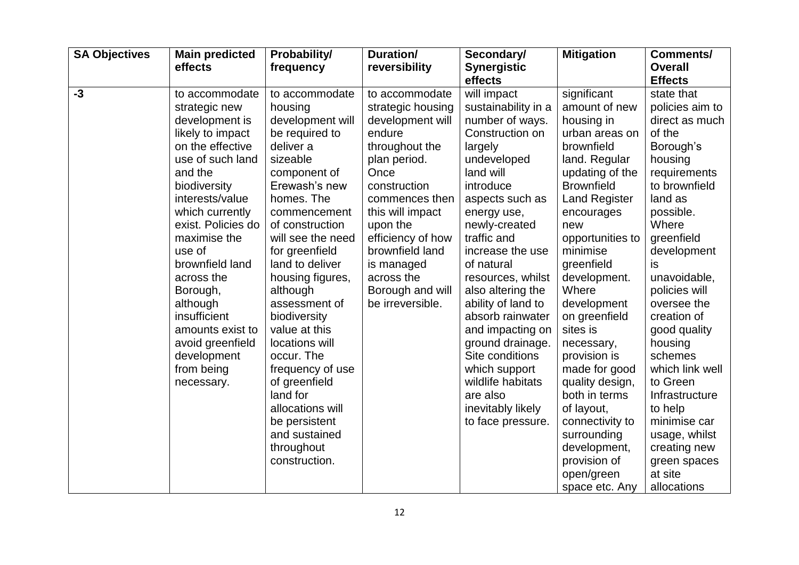| <b>SA Objectives</b> | <b>Main predicted</b><br>effects                                                                                                                                                                                                                                                                                                                                                           | <b>Probability/</b><br>frequency                                                                                                                                                                                                                                                                                                                                                                                                                                                             | Duration/<br>reversibility                                                                                                                                                                                                                                                                | Secondary/<br><b>Synergistic</b><br>effects                                                                                                                                                                                                                                                                                                                                                                                                                                 | <b>Mitigation</b>                                                                                                                                                                                                                                                                                                                                                                                                                                                                                      | <b>Comments/</b><br><b>Overall</b><br><b>Effects</b>                                                                                                                                                                                                                                                                                                                                                                                               |
|----------------------|--------------------------------------------------------------------------------------------------------------------------------------------------------------------------------------------------------------------------------------------------------------------------------------------------------------------------------------------------------------------------------------------|----------------------------------------------------------------------------------------------------------------------------------------------------------------------------------------------------------------------------------------------------------------------------------------------------------------------------------------------------------------------------------------------------------------------------------------------------------------------------------------------|-------------------------------------------------------------------------------------------------------------------------------------------------------------------------------------------------------------------------------------------------------------------------------------------|-----------------------------------------------------------------------------------------------------------------------------------------------------------------------------------------------------------------------------------------------------------------------------------------------------------------------------------------------------------------------------------------------------------------------------------------------------------------------------|--------------------------------------------------------------------------------------------------------------------------------------------------------------------------------------------------------------------------------------------------------------------------------------------------------------------------------------------------------------------------------------------------------------------------------------------------------------------------------------------------------|----------------------------------------------------------------------------------------------------------------------------------------------------------------------------------------------------------------------------------------------------------------------------------------------------------------------------------------------------------------------------------------------------------------------------------------------------|
| $-3$                 | to accommodate<br>strategic new<br>development is<br>likely to impact<br>on the effective<br>use of such land<br>and the<br>biodiversity<br>interests/value<br>which currently<br>exist. Policies do<br>maximise the<br>use of<br>brownfield land<br>across the<br>Borough,<br>although<br>insufficient<br>amounts exist to<br>avoid greenfield<br>development<br>from being<br>necessary. | to accommodate<br>housing<br>development will<br>be required to<br>deliver a<br>sizeable<br>component of<br>Erewash's new<br>homes. The<br>commencement<br>of construction<br>will see the need<br>for greenfield<br>land to deliver<br>housing figures,<br>although<br>assessment of<br>biodiversity<br>value at this<br>locations will<br>occur. The<br>frequency of use<br>of greenfield<br>land for<br>allocations will<br>be persistent<br>and sustained<br>throughout<br>construction. | to accommodate<br>strategic housing<br>development will<br>endure<br>throughout the<br>plan period.<br>Once<br>construction<br>commences then<br>this will impact<br>upon the<br>efficiency of how<br>brownfield land<br>is managed<br>across the<br>Borough and will<br>be irreversible. | will impact<br>sustainability in a<br>number of ways.<br>Construction on<br>largely<br>undeveloped<br>land will<br>introduce<br>aspects such as<br>energy use,<br>newly-created<br>traffic and<br>increase the use<br>of natural<br>resources, whilst<br>also altering the<br>ability of land to<br>absorb rainwater<br>and impacting on<br>ground drainage.<br>Site conditions<br>which support<br>wildlife habitats<br>are also<br>inevitably likely<br>to face pressure. | significant<br>amount of new<br>housing in<br>urban areas on<br>brownfield<br>land. Regular<br>updating of the<br><b>Brownfield</b><br><b>Land Register</b><br>encourages<br>new<br>opportunities to<br>minimise<br>greenfield<br>development.<br>Where<br>development<br>on greenfield<br>sites is<br>necessary,<br>provision is<br>made for good<br>quality design,<br>both in terms<br>of layout,<br>connectivity to<br>surrounding<br>development,<br>provision of<br>open/green<br>space etc. Any | state that<br>policies aim to<br>direct as much<br>of the<br>Borough's<br>housing<br>requirements<br>to brownfield<br>land as<br>possible.<br>Where<br>greenfield<br>development<br>is<br>unavoidable,<br>policies will<br>oversee the<br>creation of<br>good quality<br>housing<br>schemes<br>which link well<br>to Green<br>Infrastructure<br>to help<br>minimise car<br>usage, whilst<br>creating new<br>green spaces<br>at site<br>allocations |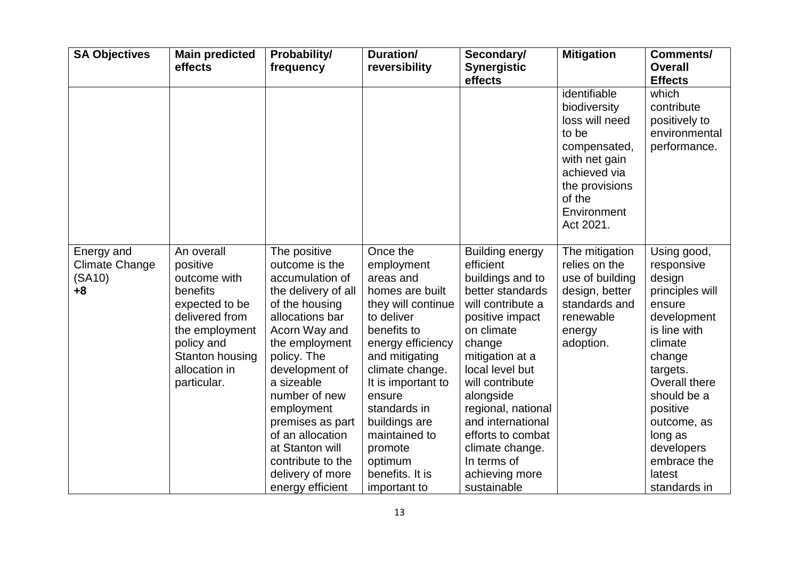| <b>SA Objectives</b>                                  | <b>Main predicted</b><br>effects                                                                                                                                          | Probability/<br>frequency                                                                                                                                                                                                                                                                                                                              | Duration/<br>reversibility                                                                                                                                                                                                                                                                                     | Secondary/<br><b>Synergistic</b><br>effects                                                                                                                                                                                                                                                                                                          | <b>Mitigation</b>                                                                                                                                                | <b>Comments/</b><br><b>Overall</b><br><b>Effects</b>                                                                                                                                                                                                          |
|-------------------------------------------------------|---------------------------------------------------------------------------------------------------------------------------------------------------------------------------|--------------------------------------------------------------------------------------------------------------------------------------------------------------------------------------------------------------------------------------------------------------------------------------------------------------------------------------------------------|----------------------------------------------------------------------------------------------------------------------------------------------------------------------------------------------------------------------------------------------------------------------------------------------------------------|------------------------------------------------------------------------------------------------------------------------------------------------------------------------------------------------------------------------------------------------------------------------------------------------------------------------------------------------------|------------------------------------------------------------------------------------------------------------------------------------------------------------------|---------------------------------------------------------------------------------------------------------------------------------------------------------------------------------------------------------------------------------------------------------------|
|                                                       |                                                                                                                                                                           |                                                                                                                                                                                                                                                                                                                                                        |                                                                                                                                                                                                                                                                                                                |                                                                                                                                                                                                                                                                                                                                                      | identifiable<br>biodiversity<br>loss will need<br>to be<br>compensated,<br>with net gain<br>achieved via<br>the provisions<br>of the<br>Environment<br>Act 2021. | which<br>contribute<br>positively to<br>environmental<br>performance.                                                                                                                                                                                         |
| Energy and<br><b>Climate Change</b><br>(SA10)<br>$+8$ | An overall<br>positive<br>outcome with<br>benefits<br>expected to be<br>delivered from<br>the employment<br>policy and<br>Stanton housing<br>allocation in<br>particular. | The positive<br>outcome is the<br>accumulation of<br>the delivery of all<br>of the housing<br>allocations bar<br>Acorn Way and<br>the employment<br>policy. The<br>development of<br>a sizeable<br>number of new<br>employment<br>premises as part<br>of an allocation<br>at Stanton will<br>contribute to the<br>delivery of more<br>energy efficient | Once the<br>employment<br>areas and<br>homes are built<br>they will continue<br>to deliver<br>benefits to<br>energy efficiency<br>and mitigating<br>climate change.<br>It is important to<br>ensure<br>standards in<br>buildings are<br>maintained to<br>promote<br>optimum<br>benefits. It is<br>important to | <b>Building energy</b><br>efficient<br>buildings and to<br>better standards<br>will contribute a<br>positive impact<br>on climate<br>change<br>mitigation at a<br>local level but<br>will contribute<br>alongside<br>regional, national<br>and international<br>efforts to combat<br>climate change.<br>In terms of<br>achieving more<br>sustainable | The mitigation<br>relies on the<br>use of building<br>design, better<br>standards and<br>renewable<br>energy<br>adoption.                                        | Using good,<br>responsive<br>design<br>principles will<br>ensure<br>development<br>is line with<br>climate<br>change<br>targets.<br>Overall there<br>should be a<br>positive<br>outcome, as<br>long as<br>developers<br>embrace the<br>latest<br>standards in |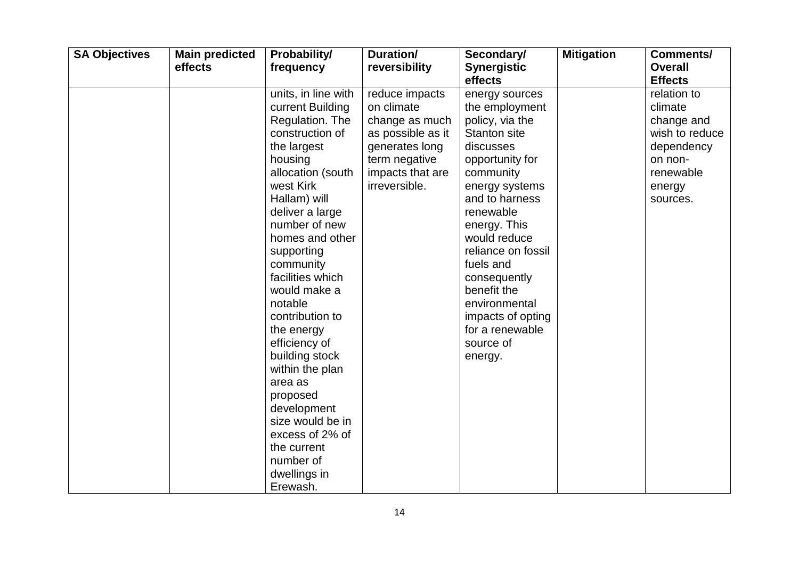| <b>SA Objectives</b> | <b>Main predicted</b><br>effects | <b>Probability/</b><br>frequency | Duration/<br>reversibility | Secondary/<br><b>Synergistic</b> | <b>Mitigation</b> | Comments/<br><b>Overall</b> |
|----------------------|----------------------------------|----------------------------------|----------------------------|----------------------------------|-------------------|-----------------------------|
|                      |                                  |                                  |                            | effects                          |                   | <b>Effects</b>              |
|                      |                                  | units, in line with              | reduce impacts             | energy sources                   |                   | relation to                 |
|                      |                                  | current Building                 | on climate                 | the employment                   |                   | climate                     |
|                      |                                  | Regulation. The                  | change as much             | policy, via the                  |                   | change and                  |
|                      |                                  | construction of                  | as possible as it          | <b>Stanton site</b>              |                   | wish to reduce              |
|                      |                                  | the largest                      | generates long             | discusses                        |                   | dependency                  |
|                      |                                  | housing                          | term negative              | opportunity for                  |                   | on non-                     |
|                      |                                  | allocation (south                | impacts that are           | community                        |                   | renewable                   |
|                      |                                  | west Kirk                        | irreversible.              | energy systems                   |                   | energy                      |
|                      |                                  | Hallam) will                     |                            | and to harness                   |                   | sources.                    |
|                      |                                  | deliver a large                  |                            | renewable                        |                   |                             |
|                      |                                  | number of new                    |                            | energy. This                     |                   |                             |
|                      |                                  | homes and other                  |                            | would reduce                     |                   |                             |
|                      |                                  | supporting                       |                            | reliance on fossil               |                   |                             |
|                      |                                  | community                        |                            | fuels and                        |                   |                             |
|                      |                                  | facilities which                 |                            | consequently                     |                   |                             |
|                      |                                  | would make a                     |                            | benefit the                      |                   |                             |
|                      |                                  | notable                          |                            | environmental                    |                   |                             |
|                      |                                  | contribution to                  |                            | impacts of opting                |                   |                             |
|                      |                                  | the energy                       |                            | for a renewable                  |                   |                             |
|                      |                                  | efficiency of                    |                            | source of                        |                   |                             |
|                      |                                  | building stock                   |                            | energy.                          |                   |                             |
|                      |                                  | within the plan                  |                            |                                  |                   |                             |
|                      |                                  | area as                          |                            |                                  |                   |                             |
|                      |                                  | proposed                         |                            |                                  |                   |                             |
|                      |                                  | development                      |                            |                                  |                   |                             |
|                      |                                  | size would be in                 |                            |                                  |                   |                             |
|                      |                                  | excess of 2% of                  |                            |                                  |                   |                             |
|                      |                                  | the current                      |                            |                                  |                   |                             |
|                      |                                  | number of                        |                            |                                  |                   |                             |
|                      |                                  | dwellings in                     |                            |                                  |                   |                             |
|                      |                                  | Erewash.                         |                            |                                  |                   |                             |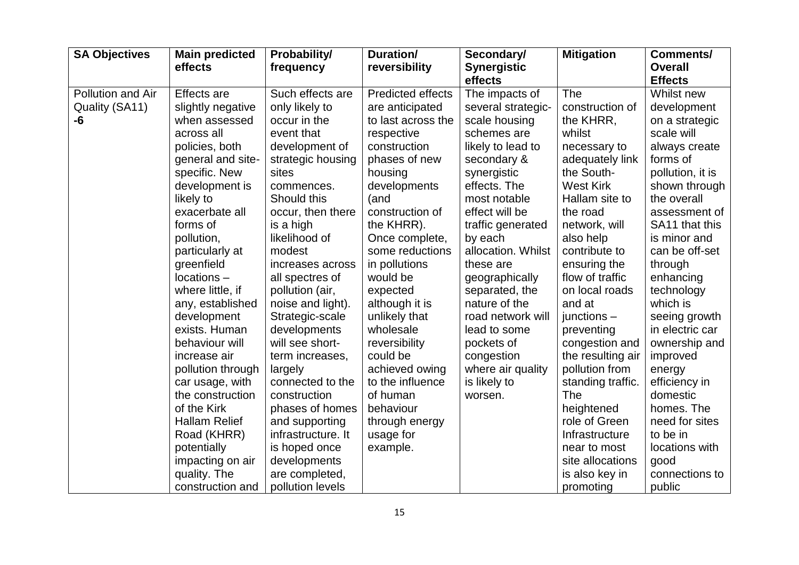| <b>SA Objectives</b> | <b>Main predicted</b><br>effects | <b>Probability/</b><br>frequency | Duration/<br>reversibility | Secondary/<br><b>Synergistic</b> | <b>Mitigation</b> | <b>Comments/</b><br><b>Overall</b> |
|----------------------|----------------------------------|----------------------------------|----------------------------|----------------------------------|-------------------|------------------------------------|
|                      |                                  |                                  |                            | effects                          |                   | <b>Effects</b>                     |
| Pollution and Air    | <b>Effects</b> are               | Such effects are                 | <b>Predicted effects</b>   | The impacts of                   | The               | Whilst new                         |
| Quality (SA11)       | slightly negative                | only likely to                   | are anticipated            | several strategic-               | construction of   | development                        |
| -6                   | when assessed                    | occur in the                     | to last across the         | scale housing                    | the KHRR,         | on a strategic                     |
|                      | across all                       | event that                       | respective                 | schemes are                      | whilst            | scale will                         |
|                      | policies, both                   | development of                   | construction               | likely to lead to                | necessary to      | always create                      |
|                      | general and site-                | strategic housing                | phases of new              | secondary &                      | adequately link   | forms of                           |
|                      | specific. New                    | sites                            | housing                    | synergistic                      | the South-        | pollution, it is                   |
|                      | development is                   | commences.                       | developments               | effects. The                     | <b>West Kirk</b>  | shown through                      |
|                      | likely to                        | Should this                      | (and                       | most notable                     | Hallam site to    | the overall                        |
|                      | exacerbate all                   | occur, then there                | construction of            | effect will be                   | the road          | assessment of                      |
|                      | forms of                         | is a high                        | the KHRR).                 | traffic generated                | network, will     | SA11 that this                     |
|                      | pollution,                       | likelihood of                    | Once complete,             | by each                          | also help         | is minor and                       |
|                      | particularly at                  | modest                           | some reductions            | allocation. Whilst               | contribute to     | can be off-set                     |
|                      | greenfield                       | increases across                 | in pollutions              | these are                        | ensuring the      | through                            |
|                      | locations-                       | all spectres of                  | would be                   | geographically                   | flow of traffic   | enhancing                          |
|                      | where little, if                 | pollution (air,                  | expected                   | separated, the                   | on local roads    | technology                         |
|                      | any, established                 | noise and light).                | although it is             | nature of the                    | and at            | which is                           |
|                      | development                      | Strategic-scale                  | unlikely that              | road network will                | junctions $-$     | seeing growth                      |
|                      | exists. Human                    | developments                     | wholesale                  | lead to some                     | preventing        | in electric car                    |
|                      | behaviour will                   | will see short-                  | reversibility              | pockets of                       | congestion and    | ownership and                      |
|                      | increase air                     | term increases,                  | could be                   | congestion                       | the resulting air | improved                           |
|                      | pollution through                | largely                          | achieved owing             | where air quality                | pollution from    | energy                             |
|                      | car usage, with                  | connected to the                 | to the influence           | is likely to                     | standing traffic. | efficiency in                      |
|                      | the construction                 | construction                     | of human                   | worsen.                          | The               | domestic                           |
|                      | of the Kirk                      | phases of homes                  | behaviour                  |                                  | heightened        | homes. The                         |
|                      | <b>Hallam Relief</b>             | and supporting                   | through energy             |                                  | role of Green     | need for sites                     |
|                      | Road (KHRR)                      | infrastructure. It               | usage for                  |                                  | Infrastructure    | to be in                           |
|                      | potentially                      | is hoped once                    | example.                   |                                  | near to most      | locations with                     |
|                      | impacting on air                 | developments                     |                            |                                  | site allocations  | good                               |
|                      | quality. The                     | are completed,                   |                            |                                  | is also key in    | connections to                     |
|                      | construction and                 | pollution levels                 |                            |                                  | promoting         | public                             |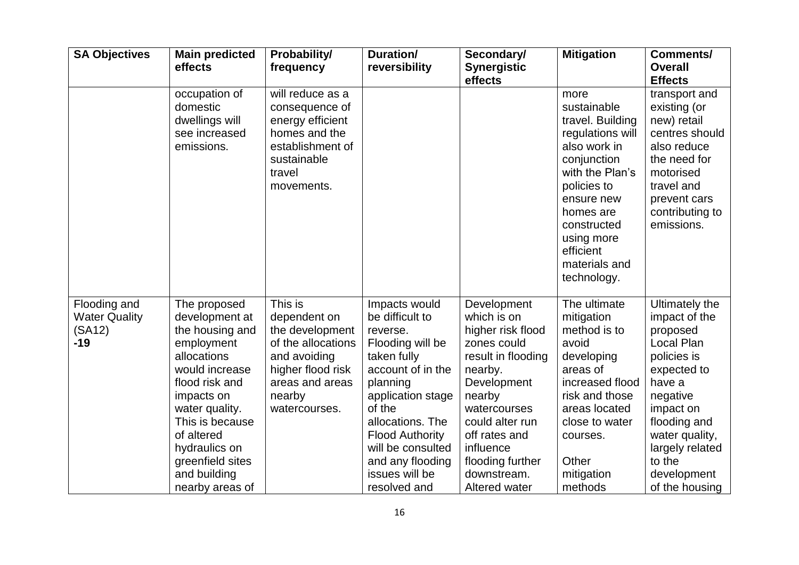| <b>SA Objectives</b>                                    | <b>Main predicted</b><br>effects                                                                                                                                                                                                                            | Probability/<br>frequency                                                                                                                           | Duration/<br>reversibility                                                                                                                                                                                                                                               | Secondary/<br><b>Synergistic</b><br>effects                                                                                                                                                                                                   | <b>Mitigation</b>                                                                                                                                                                                                                 | Comments/<br><b>Overall</b><br><b>Effects</b>                                                                                                                                                                                     |
|---------------------------------------------------------|-------------------------------------------------------------------------------------------------------------------------------------------------------------------------------------------------------------------------------------------------------------|-----------------------------------------------------------------------------------------------------------------------------------------------------|--------------------------------------------------------------------------------------------------------------------------------------------------------------------------------------------------------------------------------------------------------------------------|-----------------------------------------------------------------------------------------------------------------------------------------------------------------------------------------------------------------------------------------------|-----------------------------------------------------------------------------------------------------------------------------------------------------------------------------------------------------------------------------------|-----------------------------------------------------------------------------------------------------------------------------------------------------------------------------------------------------------------------------------|
|                                                         | occupation of<br>domestic<br>dwellings will<br>see increased<br>emissions.                                                                                                                                                                                  | will reduce as a<br>consequence of<br>energy efficient<br>homes and the<br>establishment of<br>sustainable<br>travel<br>movements.                  |                                                                                                                                                                                                                                                                          |                                                                                                                                                                                                                                               | more<br>sustainable<br>travel. Building<br>regulations will<br>also work in<br>conjunction<br>with the Plan's<br>policies to<br>ensure new<br>homes are<br>constructed<br>using more<br>efficient<br>materials and<br>technology. | transport and<br>existing (or<br>new) retail<br>centres should<br>also reduce<br>the need for<br>motorised<br>travel and<br>prevent cars<br>contributing to<br>emissions.                                                         |
| Flooding and<br><b>Water Quality</b><br>(SA12)<br>$-19$ | The proposed<br>development at<br>the housing and<br>employment<br>allocations<br>would increase<br>flood risk and<br>impacts on<br>water quality.<br>This is because<br>of altered<br>hydraulics on<br>greenfield sites<br>and building<br>nearby areas of | This is<br>dependent on<br>the development<br>of the allocations<br>and avoiding<br>higher flood risk<br>areas and areas<br>nearby<br>watercourses. | Impacts would<br>be difficult to<br>reverse.<br>Flooding will be<br>taken fully<br>account of in the<br>planning<br>application stage<br>of the<br>allocations. The<br><b>Flood Authority</b><br>will be consulted<br>and any flooding<br>issues will be<br>resolved and | Development<br>which is on<br>higher risk flood<br>zones could<br>result in flooding<br>nearby.<br>Development<br>nearby<br>watercourses<br>could alter run<br>off rates and<br>influence<br>flooding further<br>downstream.<br>Altered water | The ultimate<br>mitigation<br>method is to<br>avoid<br>developing<br>areas of<br>increased flood<br>risk and those<br>areas located<br>close to water<br>courses.<br>Other<br>mitigation<br>methods                               | <b>Ultimately the</b><br>impact of the<br>proposed<br>Local Plan<br>policies is<br>expected to<br>have a<br>negative<br>impact on<br>flooding and<br>water quality,<br>largely related<br>to the<br>development<br>of the housing |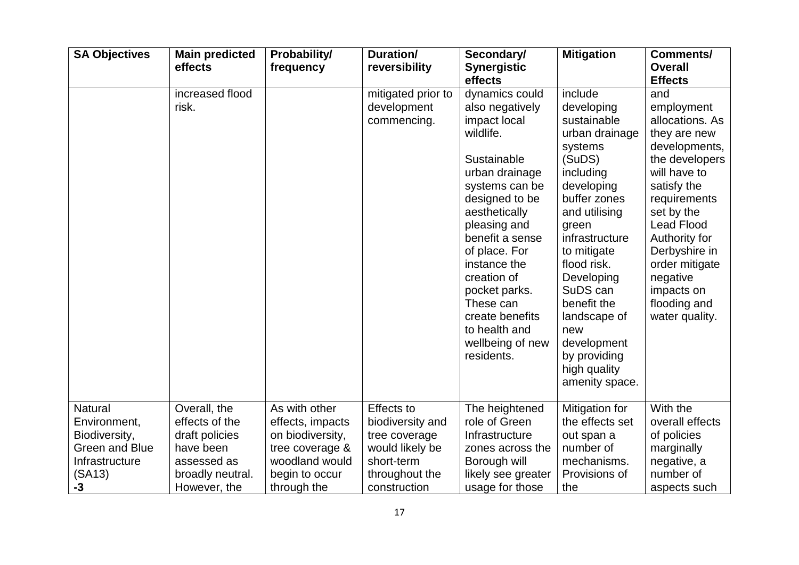|                                                                                                            | effects                                                                                                          | Probability/<br>frequency                                                                                                   | Duration/<br>reversibility                                                                                                | Secondary/<br><b>Synergistic</b><br>effects                                                                                                                                                                                                                                                                                                 | <b>Mitigation</b>                                                                                                                                                                                                                                                                                                                 | <b>Comments/</b><br><b>Overall</b><br><b>Effects</b>                                                                                                                                                                                                                                      |
|------------------------------------------------------------------------------------------------------------|------------------------------------------------------------------------------------------------------------------|-----------------------------------------------------------------------------------------------------------------------------|---------------------------------------------------------------------------------------------------------------------------|---------------------------------------------------------------------------------------------------------------------------------------------------------------------------------------------------------------------------------------------------------------------------------------------------------------------------------------------|-----------------------------------------------------------------------------------------------------------------------------------------------------------------------------------------------------------------------------------------------------------------------------------------------------------------------------------|-------------------------------------------------------------------------------------------------------------------------------------------------------------------------------------------------------------------------------------------------------------------------------------------|
|                                                                                                            | increased flood<br>risk.                                                                                         |                                                                                                                             | mitigated prior to<br>development<br>commencing.                                                                          | dynamics could<br>also negatively<br>impact local<br>wildlife.<br>Sustainable<br>urban drainage<br>systems can be<br>designed to be<br>aesthetically<br>pleasing and<br>benefit a sense<br>of place. For<br>instance the<br>creation of<br>pocket parks.<br>These can<br>create benefits<br>to health and<br>wellbeing of new<br>residents. | include<br>developing<br>sustainable<br>urban drainage<br>systems<br>(SuDS)<br>including<br>developing<br>buffer zones<br>and utilising<br>green<br>infrastructure<br>to mitigate<br>flood risk.<br>Developing<br>SuDS can<br>benefit the<br>landscape of<br>new<br>development<br>by providing<br>high quality<br>amenity space. | and<br>employment<br>allocations. As<br>they are new<br>developments,<br>the developers<br>will have to<br>satisfy the<br>requirements<br>set by the<br><b>Lead Flood</b><br>Authority for<br>Derbyshire in<br>order mitigate<br>negative<br>impacts on<br>flooding and<br>water quality. |
| <b>Natural</b><br>Environment,<br>Biodiversity,<br><b>Green and Blue</b><br>Infrastructure<br>(SA13)<br>-3 | Overall, the<br>effects of the<br>draft policies<br>have been<br>assessed as<br>broadly neutral.<br>However, the | As with other<br>effects, impacts<br>on biodiversity,<br>tree coverage &<br>woodland would<br>begin to occur<br>through the | <b>Effects to</b><br>biodiversity and<br>tree coverage<br>would likely be<br>short-term<br>throughout the<br>construction | The heightened<br>role of Green<br>Infrastructure<br>zones across the<br>Borough will<br>likely see greater<br>usage for those                                                                                                                                                                                                              | Mitigation for<br>the effects set<br>out span a<br>number of<br>mechanisms.<br>Provisions of<br>the                                                                                                                                                                                                                               | With the<br>overall effects<br>of policies<br>marginally<br>negative, a<br>number of<br>aspects such                                                                                                                                                                                      |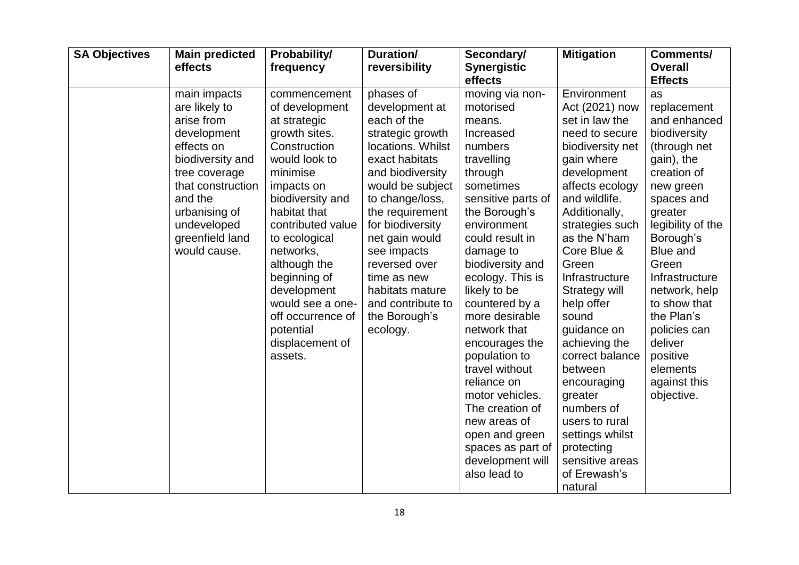| <b>SA Objectives</b> | <b>Main predicted</b><br>effects                                                                                                                                                                                 | Probability/<br>frequency                                                                                                                                                                                                                                                                                                                            | Duration/<br>reversibility                                                                                                                                                                                                                                                                                                                    | Secondary/<br><b>Synergistic</b><br>effects                                                                                                                                                                                                                                                                                                                                                                                                                                                                 | <b>Mitigation</b>                                                                                                                                                                                                                                                                                                                                                                                                                                                                                   | Comments/<br><b>Overall</b><br><b>Effects</b>                                                                                                                                                                                                                                                                                                        |
|----------------------|------------------------------------------------------------------------------------------------------------------------------------------------------------------------------------------------------------------|------------------------------------------------------------------------------------------------------------------------------------------------------------------------------------------------------------------------------------------------------------------------------------------------------------------------------------------------------|-----------------------------------------------------------------------------------------------------------------------------------------------------------------------------------------------------------------------------------------------------------------------------------------------------------------------------------------------|-------------------------------------------------------------------------------------------------------------------------------------------------------------------------------------------------------------------------------------------------------------------------------------------------------------------------------------------------------------------------------------------------------------------------------------------------------------------------------------------------------------|-----------------------------------------------------------------------------------------------------------------------------------------------------------------------------------------------------------------------------------------------------------------------------------------------------------------------------------------------------------------------------------------------------------------------------------------------------------------------------------------------------|------------------------------------------------------------------------------------------------------------------------------------------------------------------------------------------------------------------------------------------------------------------------------------------------------------------------------------------------------|
|                      | main impacts<br>are likely to<br>arise from<br>development<br>effects on<br>biodiversity and<br>tree coverage<br>that construction<br>and the<br>urbanising of<br>undeveloped<br>greenfield land<br>would cause. | commencement<br>of development<br>at strategic<br>growth sites.<br>Construction<br>would look to<br>minimise<br>impacts on<br>biodiversity and<br>habitat that<br>contributed value<br>to ecological<br>networks,<br>although the<br>beginning of<br>development<br>would see a one-<br>off occurrence of<br>potential<br>displacement of<br>assets. | phases of<br>development at<br>each of the<br>strategic growth<br>locations. Whilst<br>exact habitats<br>and biodiversity<br>would be subject<br>to change/loss,<br>the requirement<br>for biodiversity<br>net gain would<br>see impacts<br>reversed over<br>time as new<br>habitats mature<br>and contribute to<br>the Borough's<br>ecology. | moving via non-<br>motorised<br>means.<br>Increased<br>numbers<br>travelling<br>through<br>sometimes<br>sensitive parts of<br>the Borough's<br>environment<br>could result in<br>damage to<br>biodiversity and<br>ecology. This is<br>likely to be<br>countered by a<br>more desirable<br>network that<br>encourages the<br>population to<br>travel without<br>reliance on<br>motor vehicles.<br>The creation of<br>new areas of<br>open and green<br>spaces as part of<br>development will<br>also lead to | Environment<br>Act (2021) now<br>set in law the<br>need to secure<br>biodiversity net<br>gain where<br>development<br>affects ecology<br>and wildlife.<br>Additionally,<br>strategies such<br>as the N'ham<br>Core Blue &<br>Green<br>Infrastructure<br>Strategy will<br>help offer<br>sound<br>guidance on<br>achieving the<br>correct balance<br>between<br>encouraging<br>greater<br>numbers of<br>users to rural<br>settings whilst<br>protecting<br>sensitive areas<br>of Erewash's<br>natural | as<br>replacement<br>and enhanced<br>biodiversity<br>(through net<br>gain), the<br>creation of<br>new green<br>spaces and<br>greater<br>legibility of the<br>Borough's<br><b>Blue and</b><br>Green<br>Infrastructure<br>network, help<br>to show that<br>the Plan's<br>policies can<br>deliver<br>positive<br>elements<br>against this<br>objective. |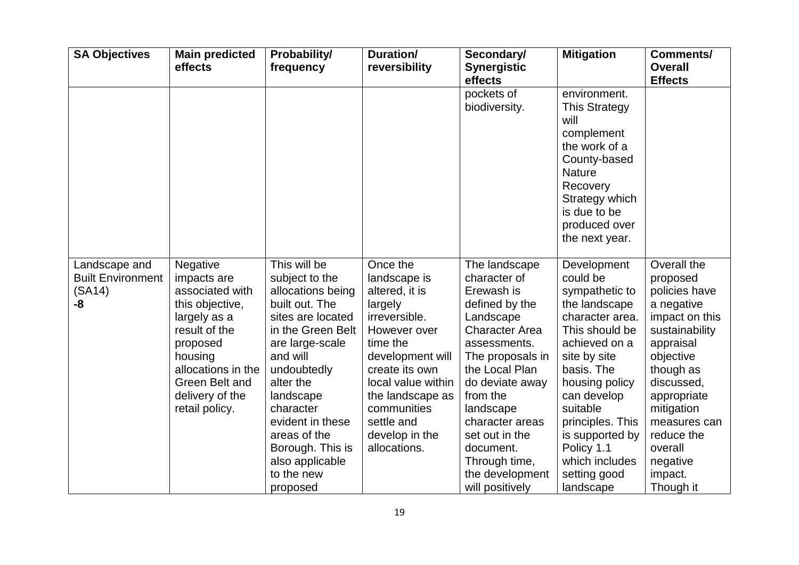| <b>SA Objectives</b>                                      | <b>Main predicted</b><br>effects                                                                                                                                                                   | Probability/<br>frequency                                                                                                                                                                                                                                                                                 | Duration/<br>reversibility                                                                                                                                                                                                                        | Secondary/<br><b>Synergistic</b><br>effects                                                                                                                                                                                                                                                                    | <b>Mitigation</b>                                                                                                                                                                                                                                                                               | <b>Comments/</b><br><b>Overall</b><br><b>Effects</b>                                                                                                                                                                                                      |
|-----------------------------------------------------------|----------------------------------------------------------------------------------------------------------------------------------------------------------------------------------------------------|-----------------------------------------------------------------------------------------------------------------------------------------------------------------------------------------------------------------------------------------------------------------------------------------------------------|---------------------------------------------------------------------------------------------------------------------------------------------------------------------------------------------------------------------------------------------------|----------------------------------------------------------------------------------------------------------------------------------------------------------------------------------------------------------------------------------------------------------------------------------------------------------------|-------------------------------------------------------------------------------------------------------------------------------------------------------------------------------------------------------------------------------------------------------------------------------------------------|-----------------------------------------------------------------------------------------------------------------------------------------------------------------------------------------------------------------------------------------------------------|
|                                                           |                                                                                                                                                                                                    |                                                                                                                                                                                                                                                                                                           |                                                                                                                                                                                                                                                   | pockets of<br>biodiversity.                                                                                                                                                                                                                                                                                    | environment.<br><b>This Strategy</b><br>will<br>complement<br>the work of a<br>County-based<br><b>Nature</b><br>Recovery<br>Strategy which<br>is due to be<br>produced over<br>the next year.                                                                                                   |                                                                                                                                                                                                                                                           |
| Landscape and<br><b>Built Environment</b><br>(SA14)<br>-8 | Negative<br>impacts are<br>associated with<br>this objective,<br>largely as a<br>result of the<br>proposed<br>housing<br>allocations in the<br>Green Belt and<br>delivery of the<br>retail policy. | This will be<br>subject to the<br>allocations being<br>built out. The<br>sites are located<br>in the Green Belt<br>are large-scale<br>and will<br>undoubtedly<br>alter the<br>landscape<br>character<br>evident in these<br>areas of the<br>Borough. This is<br>also applicable<br>to the new<br>proposed | Once the<br>landscape is<br>altered, it is<br>largely<br>irreversible.<br>However over<br>time the<br>development will<br>create its own<br>local value within<br>the landscape as<br>communities<br>settle and<br>develop in the<br>allocations. | The landscape<br>character of<br>Erewash is<br>defined by the<br>Landscape<br><b>Character Area</b><br>assessments.<br>The proposals in<br>the Local Plan<br>do deviate away<br>from the<br>landscape<br>character areas<br>set out in the<br>document.<br>Through time,<br>the development<br>will positively | Development<br>could be<br>sympathetic to<br>the landscape<br>character area.<br>This should be<br>achieved on a<br>site by site<br>basis. The<br>housing policy<br>can develop<br>suitable<br>principles. This<br>is supported by<br>Policy 1.1<br>which includes<br>setting good<br>landscape | Overall the<br>proposed<br>policies have<br>a negative<br>impact on this<br>sustainability<br>appraisal<br>objective<br>though as<br>discussed,<br>appropriate<br>mitigation<br>measures can<br>reduce the<br>overall<br>negative<br>impact.<br>Though it |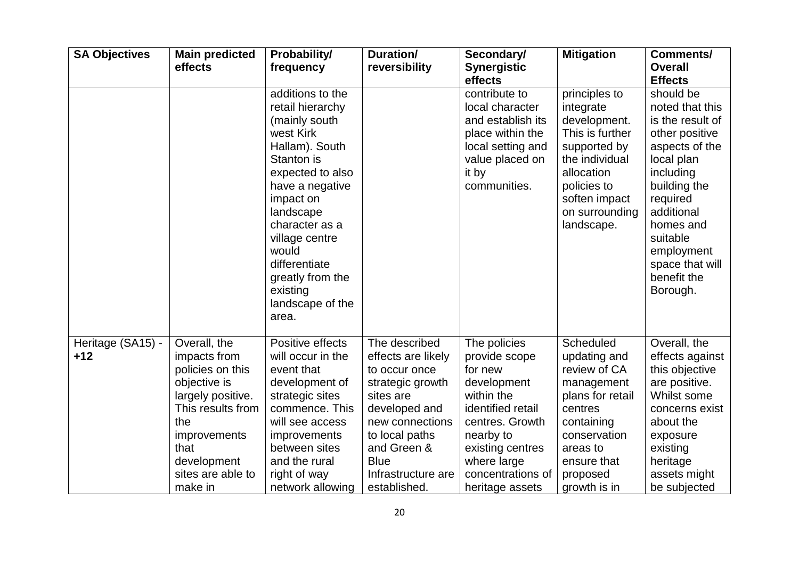| <b>SA Objectives</b>       | <b>Main predicted</b><br>effects                                                                                                                                                         | Probability/<br>frequency                                                                                                                                                                                                                                                                      | Duration/<br>reversibility                                                                                                                                                                                      | Secondary/<br><b>Synergistic</b><br>effects                                                                                                                                                           | <b>Mitigation</b>                                                                                                                                                             | <b>Comments/</b><br><b>Overall</b><br><b>Effects</b>                                                                                                                                                                                           |
|----------------------------|------------------------------------------------------------------------------------------------------------------------------------------------------------------------------------------|------------------------------------------------------------------------------------------------------------------------------------------------------------------------------------------------------------------------------------------------------------------------------------------------|-----------------------------------------------------------------------------------------------------------------------------------------------------------------------------------------------------------------|-------------------------------------------------------------------------------------------------------------------------------------------------------------------------------------------------------|-------------------------------------------------------------------------------------------------------------------------------------------------------------------------------|------------------------------------------------------------------------------------------------------------------------------------------------------------------------------------------------------------------------------------------------|
|                            |                                                                                                                                                                                          | additions to the<br>retail hierarchy<br>(mainly south<br>west Kirk<br>Hallam). South<br>Stanton is<br>expected to also<br>have a negative<br>impact on<br>landscape<br>character as a<br>village centre<br>would<br>differentiate<br>greatly from the<br>existing<br>landscape of the<br>area. |                                                                                                                                                                                                                 | contribute to<br>local character<br>and establish its<br>place within the<br>local setting and<br>value placed on<br>it by<br>communities.                                                            | principles to<br>integrate<br>development.<br>This is further<br>supported by<br>the individual<br>allocation<br>policies to<br>soften impact<br>on surrounding<br>landscape. | should be<br>noted that this<br>is the result of<br>other positive<br>aspects of the<br>local plan<br>including<br>building the<br>required<br>additional<br>homes and<br>suitable<br>employment<br>space that will<br>benefit the<br>Borough. |
| Heritage (SA15) -<br>$+12$ | Overall, the<br>impacts from<br>policies on this<br>objective is<br>largely positive.<br>This results from<br>the<br>improvements<br>that<br>development<br>sites are able to<br>make in | Positive effects<br>will occur in the<br>event that<br>development of<br>strategic sites<br>commence. This<br>will see access<br><i>improvements</i><br>between sites<br>and the rural<br>right of way<br>network allowing                                                                     | The described<br>effects are likely<br>to occur once<br>strategic growth<br>sites are<br>developed and<br>new connections<br>to local paths<br>and Green &<br><b>Blue</b><br>Infrastructure are<br>established. | The policies<br>provide scope<br>for new<br>development<br>within the<br>identified retail<br>centres. Growth<br>nearby to<br>existing centres<br>where large<br>concentrations of<br>heritage assets | Scheduled<br>updating and<br>review of CA<br>management<br>plans for retail<br>centres<br>containing<br>conservation<br>areas to<br>ensure that<br>proposed<br>growth is in   | Overall, the<br>effects against<br>this objective<br>are positive.<br>Whilst some<br>concerns exist<br>about the<br>exposure<br>existing<br>heritage<br>assets might<br>be subjected                                                           |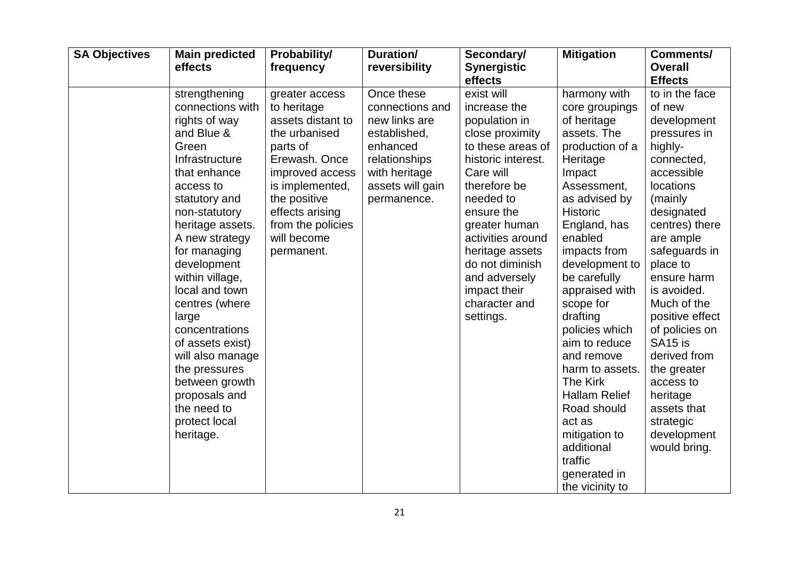| <b>SA Objectives</b> | <b>Main predicted</b><br>effects                                                                                                                                                                                                                                                                                                                                                                                                                           | Probability/<br>frequency                                                                                                                                                                                                   | <b>Duration/</b><br>reversibility                                                                                                               | Secondary/<br><b>Synergistic</b><br>effects                                                                                                                                                                                                                                                                  | <b>Mitigation</b>                                                                                                                                                                                                                                                                                                                                                                                                                                                                              | Comments/<br><b>Overall</b><br><b>Effects</b>                                                                                                                                                                                                                                                                                                                                                                                |
|----------------------|------------------------------------------------------------------------------------------------------------------------------------------------------------------------------------------------------------------------------------------------------------------------------------------------------------------------------------------------------------------------------------------------------------------------------------------------------------|-----------------------------------------------------------------------------------------------------------------------------------------------------------------------------------------------------------------------------|-------------------------------------------------------------------------------------------------------------------------------------------------|--------------------------------------------------------------------------------------------------------------------------------------------------------------------------------------------------------------------------------------------------------------------------------------------------------------|------------------------------------------------------------------------------------------------------------------------------------------------------------------------------------------------------------------------------------------------------------------------------------------------------------------------------------------------------------------------------------------------------------------------------------------------------------------------------------------------|------------------------------------------------------------------------------------------------------------------------------------------------------------------------------------------------------------------------------------------------------------------------------------------------------------------------------------------------------------------------------------------------------------------------------|
|                      | strengthening<br>connections with<br>rights of way<br>and Blue &<br>Green<br>Infrastructure<br>that enhance<br>access to<br>statutory and<br>non-statutory<br>heritage assets.<br>A new strategy<br>for managing<br>development<br>within village,<br>local and town<br>centres (where<br>large<br>concentrations<br>of assets exist)<br>will also manage<br>the pressures<br>between growth<br>proposals and<br>the need to<br>protect local<br>heritage. | greater access<br>to heritage<br>assets distant to<br>the urbanised<br>parts of<br>Erewash. Once<br>improved access<br>is implemented,<br>the positive<br>effects arising<br>from the policies<br>will become<br>permanent. | Once these<br>connections and<br>new links are<br>established,<br>enhanced<br>relationships<br>with heritage<br>assets will gain<br>permanence. | exist will<br>increase the<br>population in<br>close proximity<br>to these areas of<br>historic interest.<br>Care will<br>therefore be<br>needed to<br>ensure the<br>greater human<br>activities around<br>heritage assets<br>do not diminish<br>and adversely<br>impact their<br>character and<br>settings. | harmony with<br>core groupings<br>of heritage<br>assets. The<br>production of a<br>Heritage<br>Impact<br>Assessment,<br>as advised by<br><b>Historic</b><br>England, has<br>enabled<br>impacts from<br>development to<br>be carefully<br>appraised with<br>scope for<br>drafting<br>policies which<br>aim to reduce<br>and remove<br>harm to assets.<br>The Kirk<br><b>Hallam Relief</b><br>Road should<br>act as<br>mitigation to<br>additional<br>traffic<br>generated in<br>the vicinity to | to in the face<br>of new<br>development<br>pressures in<br>highly-<br>connected,<br>accessible<br>locations<br>(mainly<br>designated<br>centres) there<br>are ample<br>safeguards in<br>place to<br>ensure harm<br>is avoided.<br>Much of the<br>positive effect<br>of policies on<br>SA <sub>15</sub> is<br>derived from<br>the greater<br>access to<br>heritage<br>assets that<br>strategic<br>development<br>would bring. |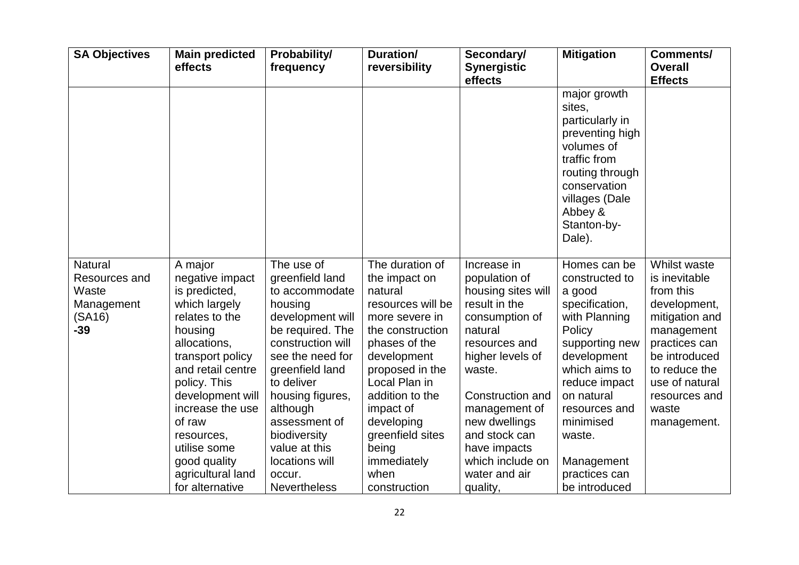| <b>SA Objectives</b>                                                      | <b>Main predicted</b><br>effects                                                                                                                                                                                                                                                                           | Probability/<br>frequency                                                                                                                                                                                                                                                                                         | Duration/<br>reversibility                                                                                                                                                                                                                                                                   | Secondary/<br><b>Synergistic</b><br>effects                                                                                                                                                                                                                                             | <b>Mitigation</b>                                                                                                                                                                                                                                              | <b>Comments/</b><br><b>Overall</b><br><b>Effects</b>                                                                                                                                                     |
|---------------------------------------------------------------------------|------------------------------------------------------------------------------------------------------------------------------------------------------------------------------------------------------------------------------------------------------------------------------------------------------------|-------------------------------------------------------------------------------------------------------------------------------------------------------------------------------------------------------------------------------------------------------------------------------------------------------------------|----------------------------------------------------------------------------------------------------------------------------------------------------------------------------------------------------------------------------------------------------------------------------------------------|-----------------------------------------------------------------------------------------------------------------------------------------------------------------------------------------------------------------------------------------------------------------------------------------|----------------------------------------------------------------------------------------------------------------------------------------------------------------------------------------------------------------------------------------------------------------|----------------------------------------------------------------------------------------------------------------------------------------------------------------------------------------------------------|
|                                                                           |                                                                                                                                                                                                                                                                                                            |                                                                                                                                                                                                                                                                                                                   |                                                                                                                                                                                                                                                                                              |                                                                                                                                                                                                                                                                                         | major growth<br>sites,<br>particularly in<br>preventing high<br>volumes of<br>traffic from<br>routing through<br>conservation<br>villages (Dale<br>Abbey &<br>Stanton-by-<br>Dale).                                                                            |                                                                                                                                                                                                          |
| <b>Natural</b><br>Resources and<br>Waste<br>Management<br>(SA16)<br>$-39$ | A major<br>negative impact<br>is predicted,<br>which largely<br>relates to the<br>housing<br>allocations,<br>transport policy<br>and retail centre<br>policy. This<br>development will<br>increase the use<br>of raw<br>resources,<br>utilise some<br>good quality<br>agricultural land<br>for alternative | The use of<br>greenfield land<br>to accommodate<br>housing<br>development will<br>be required. The<br>construction will<br>see the need for<br>greenfield land<br>to deliver<br>housing figures,<br>although<br>assessment of<br>biodiversity<br>value at this<br>locations will<br>occur.<br><b>Nevertheless</b> | The duration of<br>the impact on<br>natural<br>resources will be<br>more severe in<br>the construction<br>phases of the<br>development<br>proposed in the<br>Local Plan in<br>addition to the<br>impact of<br>developing<br>greenfield sites<br>being<br>immediately<br>when<br>construction | Increase in<br>population of<br>housing sites will<br>result in the<br>consumption of<br>natural<br>resources and<br>higher levels of<br>waste.<br>Construction and<br>management of<br>new dwellings<br>and stock can<br>have impacts<br>which include on<br>water and air<br>quality, | Homes can be<br>constructed to<br>a good<br>specification,<br>with Planning<br>Policy<br>supporting new<br>development<br>which aims to<br>reduce impact<br>on natural<br>resources and<br>minimised<br>waste.<br>Management<br>practices can<br>be introduced | Whilst waste<br>is inevitable<br>from this<br>development,<br>mitigation and<br>management<br>practices can<br>be introduced<br>to reduce the<br>use of natural<br>resources and<br>waste<br>management. |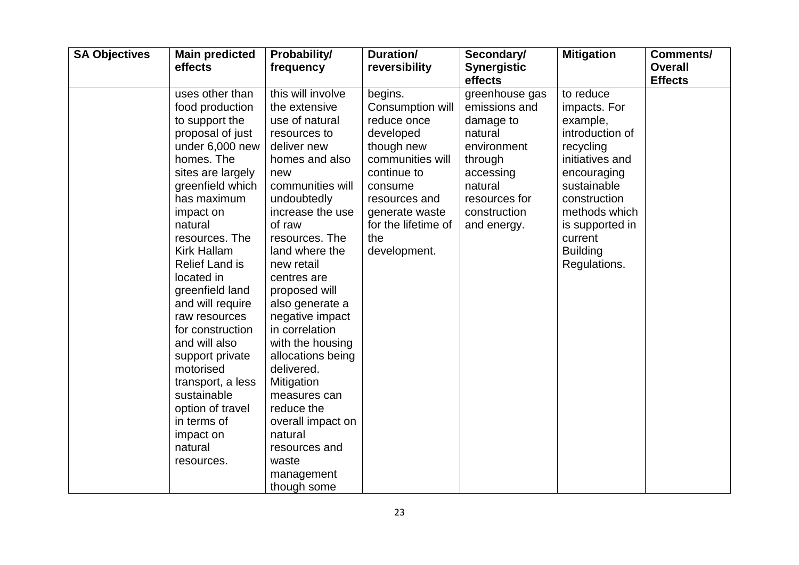| <b>SA Objectives</b> | <b>Main predicted</b><br>effects                                                                                                                                                                                                                                                                                                                                                                                                                                                                                   | Probability/<br>frequency                                                                                                                                                                                                                                                                                                                                                                                                                                                                                         | Duration/<br>reversibility                                                                                                                                                                           | Secondary/<br><b>Synergistic</b><br>effects                                                                                                               | <b>Mitigation</b>                                                                                                                                                                                                        | <b>Comments/</b><br><b>Overall</b><br><b>Effects</b> |
|----------------------|--------------------------------------------------------------------------------------------------------------------------------------------------------------------------------------------------------------------------------------------------------------------------------------------------------------------------------------------------------------------------------------------------------------------------------------------------------------------------------------------------------------------|-------------------------------------------------------------------------------------------------------------------------------------------------------------------------------------------------------------------------------------------------------------------------------------------------------------------------------------------------------------------------------------------------------------------------------------------------------------------------------------------------------------------|------------------------------------------------------------------------------------------------------------------------------------------------------------------------------------------------------|-----------------------------------------------------------------------------------------------------------------------------------------------------------|--------------------------------------------------------------------------------------------------------------------------------------------------------------------------------------------------------------------------|------------------------------------------------------|
|                      | uses other than<br>food production<br>to support the<br>proposal of just<br>under 6,000 new<br>homes. The<br>sites are largely<br>greenfield which<br>has maximum<br>impact on<br>natural<br>resources. The<br><b>Kirk Hallam</b><br><b>Relief Land is</b><br>located in<br>greenfield land<br>and will require<br>raw resources<br>for construction<br>and will also<br>support private<br>motorised<br>transport, a less<br>sustainable<br>option of travel<br>in terms of<br>impact on<br>natural<br>resources. | this will involve<br>the extensive<br>use of natural<br>resources to<br>deliver new<br>homes and also<br>new<br>communities will<br>undoubtedly<br>increase the use<br>of raw<br>resources. The<br>land where the<br>new retail<br>centres are<br>proposed will<br>also generate a<br>negative impact<br>in correlation<br>with the housing<br>allocations being<br>delivered.<br>Mitigation<br>measures can<br>reduce the<br>overall impact on<br>natural<br>resources and<br>waste<br>management<br>though some | begins.<br>Consumption will<br>reduce once<br>developed<br>though new<br>communities will<br>continue to<br>consume<br>resources and<br>generate waste<br>for the lifetime of<br>the<br>development. | greenhouse gas<br>emissions and<br>damage to<br>natural<br>environment<br>through<br>accessing<br>natural<br>resources for<br>construction<br>and energy. | to reduce<br>impacts. For<br>example,<br>introduction of<br>recycling<br>initiatives and<br>encouraging<br>sustainable<br>construction<br>methods which<br>is supported in<br>current<br><b>Building</b><br>Regulations. |                                                      |